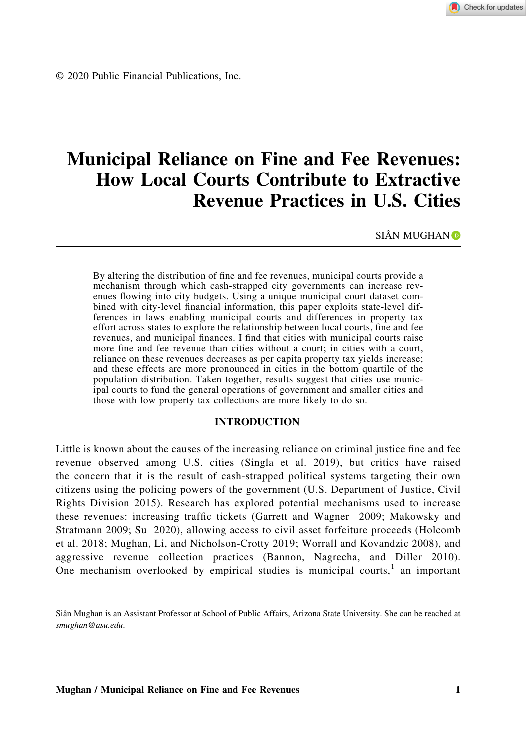Check for updates

© 2020 Public Financial Publications, Inc.

# Municipal Reliance on Fine and Fee Revenues: How Local Courts Contribute to Extractive Revenue Practices in U.S. Cities

SIÂ[N](http://orcid.org/0000-0003-2404-7463) MUGHAN<sup>D</sup>

By altering the distribution of fine and fee revenues, municipal courts provide a mechanism through which cash‐strapped city governments can increase revenues flowing into city budgets. Using a unique municipal court dataset combined with city-level financial information, this paper exploits state-level differences in laws enabling municipal courts and differences in property tax effort across states to explore the relationship between local courts, fine and fee revenues, and municipal finances. I find that cities with municipal courts raise more fine and fee revenue than cities without a court; in cities with a court, reliance on these revenues decreases as per capita property tax yields increase; and these effects are more pronounced in cities in the bottom quartile of the population distribution. Taken together, results suggest that cities use municipal courts to fund the general operations of government and smaller cities and those with low property tax collections are more likely to do so.

### INTRODUCTION

Little is known about the causes of the increasing reliance on criminal justice fine and fee revenue observed among U.S. cities (Singla et al. 2019), but critics have raised the concern that it is the result of cash‐strapped political systems targeting their own citizens using the policing powers of the government (U.S. Department of Justice, Civil Rights Division 2015). Research has explored potential mechanisms used to increase these revenues: increasing traffic tickets (Garrett and Wagner 2009; Makowsky and Stratmann 2009; Su 2020), allowing access to civil asset forfeiture proceeds (Holcomb et al. 2018; Mughan, Li, and Nicholson‐Crotty 2019; Worrall and Kovandzic 2008), and aggressive revenue collection practices (Bannon, Nagrecha, and Diller 2010). One mechanism overlooked by empirical studies is municipal courts, $\frac{1}{1}$  an important

Siân Mughan is an Assistant Professor at School of Public Affairs, Arizona State University. She can be reached at smughan@asu.edu.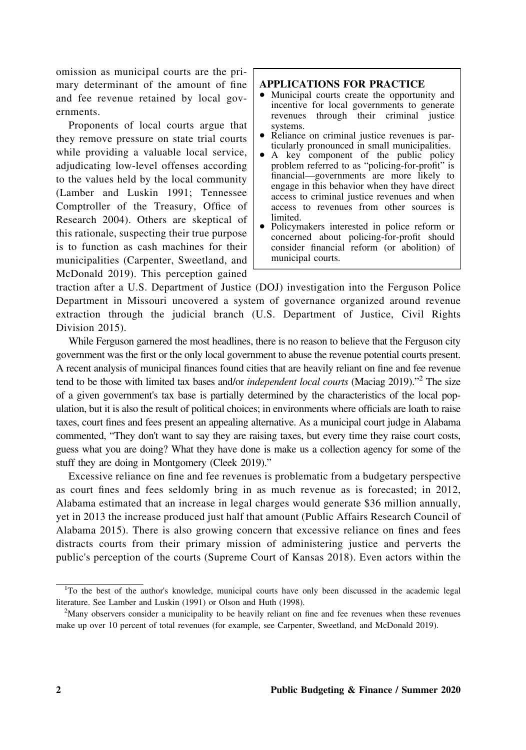omission as municipal courts are the primary determinant of the amount of fine and fee revenue retained by local governments.

Proponents of local courts argue that they remove pressure on state trial courts while providing a valuable local service, adjudicating low‐level offenses according to the values held by the local community (Lamber and Luskin 1991; Tennessee Comptroller of the Treasury, Office of Research 2004). Others are skeptical of this rationale, suspecting their true purpose is to function as cash machines for their municipalities (Carpenter, Sweetland, and McDonald 2019). This perception gained

### APPLICATIONS FOR PRACTICE

- Municipal courts create the opportunity and incentive for local governments to generate revenues through their criminal justice systems.
- Reliance on criminal justice revenues is particularly pronounced in small municipalities.
- A key component of the public policy problem referred to as "policing‐for‐profit" is financial—governments are more likely to engage in this behavior when they have direct access to criminal justice revenues and when access to revenues from other sources is limited.
- Policymakers interested in police reform or concerned about policing‐for‐profit should consider financial reform (or abolition) of municipal courts.

traction after a U.S. Department of Justice (DOJ) investigation into the Ferguson Police Department in Missouri uncovered a system of governance organized around revenue extraction through the judicial branch (U.S. Department of Justice, Civil Rights Division 2015).

While Ferguson garnered the most headlines, there is no reason to believe that the Ferguson city government was the first or the only local government to abuse the revenue potential courts present. A recent analysis of municipal finances found cities that are heavily reliant on fine and fee revenue tend to be those with limited tax bases and/or *independent local courts* (Maciag 2019)."<sup>2</sup> The size of a given government's tax base is partially determined by the characteristics of the local population, but it is also the result of political choices; in environments where officials are loath to raise taxes, court fines and fees present an appealing alternative. As a municipal court judge in Alabama commented, "They don't want to say they are raising taxes, but every time they raise court costs, guess what you are doing? What they have done is make us a collection agency for some of the stuff they are doing in Montgomery (Cleek 2019)."

Excessive reliance on fine and fee revenues is problematic from a budgetary perspective as court fines and fees seldomly bring in as much revenue as is forecasted; in 2012, Alabama estimated that an increase in legal charges would generate \$36 million annually, yet in 2013 the increase produced just half that amount (Public Affairs Research Council of Alabama 2015). There is also growing concern that excessive reliance on fines and fees distracts courts from their primary mission of administering justice and perverts the public's perception of the courts (Supreme Court of Kansas 2018). Even actors within the

<sup>&</sup>lt;sup>1</sup>To the best of the author's knowledge, municipal courts have only been discussed in the academic legal literature. See Lamber and Luskin (1991) or Olson and Huth (1998).

<sup>&</sup>lt;sup>2</sup>Many observers consider a municipality to be heavily reliant on fine and fee revenues when these revenues make up over 10 percent of total revenues (for example, see Carpenter, Sweetland, and McDonald 2019).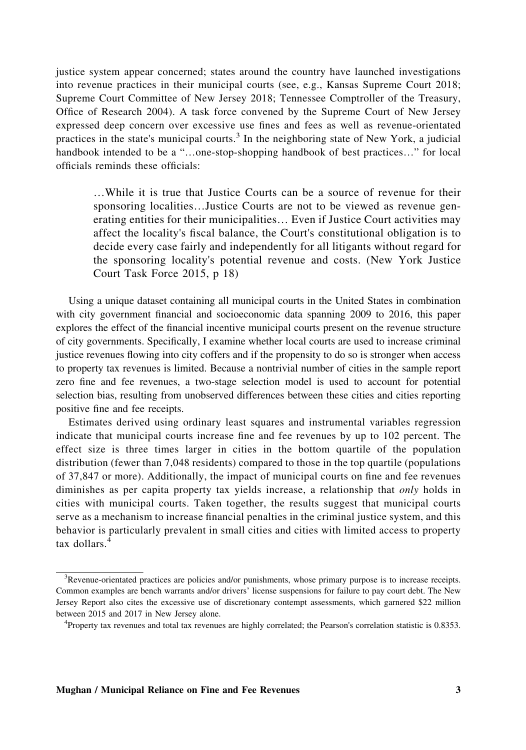justice system appear concerned; states around the country have launched investigations into revenue practices in their municipal courts (see, e.g., Kansas Supreme Court 2018; Supreme Court Committee of New Jersey 2018; Tennessee Comptroller of the Treasury, Office of Research 2004). A task force convened by the Supreme Court of New Jersey expressed deep concern over excessive use fines and fees as well as revenue‐orientated practices in the state's municipal courts.<sup>3</sup> In the neighboring state of New York, a judicial handbook intended to be a "…one-stop-shopping handbook of best practices…" for local officials reminds these officials:

…While it is true that Justice Courts can be a source of revenue for their sponsoring localities…Justice Courts are not to be viewed as revenue generating entities for their municipalities… Even if Justice Court activities may affect the locality's fiscal balance, the Court's constitutional obligation is to decide every case fairly and independently for all litigants without regard for the sponsoring locality's potential revenue and costs. (New York Justice Court Task Force 2015, p 18)

Using a unique dataset containing all municipal courts in the United States in combination with city government financial and socioeconomic data spanning 2009 to 2016, this paper explores the effect of the financial incentive municipal courts present on the revenue structure of city governments. Specifically, I examine whether local courts are used to increase criminal justice revenues flowing into city coffers and if the propensity to do so is stronger when access to property tax revenues is limited. Because a nontrivial number of cities in the sample report zero fine and fee revenues, a two‐stage selection model is used to account for potential selection bias, resulting from unobserved differences between these cities and cities reporting positive fine and fee receipts.

Estimates derived using ordinary least squares and instrumental variables regression indicate that municipal courts increase fine and fee revenues by up to 102 percent. The effect size is three times larger in cities in the bottom quartile of the population distribution (fewer than 7,048 residents) compared to those in the top quartile (populations of 37,847 or more). Additionally, the impact of municipal courts on fine and fee revenues diminishes as per capita property tax yields increase, a relationship that *only* holds in cities with municipal courts. Taken together, the results suggest that municipal courts serve as a mechanism to increase financial penalties in the criminal justice system, and this behavior is particularly prevalent in small cities and cities with limited access to property tax dollars. $4$ 

<sup>&</sup>lt;sup>3</sup>Revenue-orientated practices are policies and/or punishments, whose primary purpose is to increase receipts. Common examples are bench warrants and/or drivers' license suspensions for failure to pay court debt. The New Jersey Report also cites the excessive use of discretionary contempt assessments, which garnered \$22 million between 2015 and 2017 in New Jersey alone.

<sup>4</sup> Property tax revenues and total tax revenues are highly correlated; the Pearson's correlation statistic is 0.8353.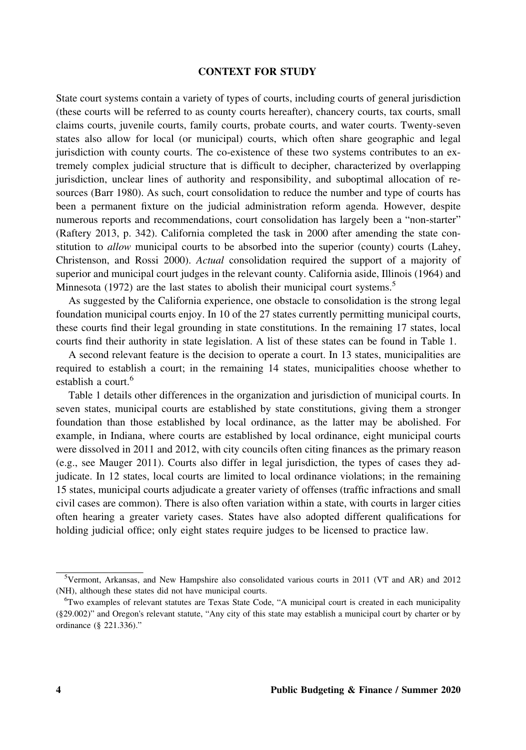## CONTEXT FOR STUDY

State court systems contain a variety of types of courts, including courts of general jurisdiction (these courts will be referred to as county courts hereafter), chancery courts, tax courts, small claims courts, juvenile courts, family courts, probate courts, and water courts. Twenty‐seven states also allow for local (or municipal) courts, which often share geographic and legal jurisdiction with county courts. The co‐existence of these two systems contributes to an extremely complex judicial structure that is difficult to decipher, characterized by overlapping jurisdiction, unclear lines of authority and responsibility, and suboptimal allocation of resources (Barr 1980). As such, court consolidation to reduce the number and type of courts has been a permanent fixture on the judicial administration reform agenda. However, despite numerous reports and recommendations, court consolidation has largely been a "non‐starter" (Raftery 2013, p. 342). California completed the task in 2000 after amending the state constitution to *allow* municipal courts to be absorbed into the superior (county) courts (Lahey, Christenson, and Rossi 2000). Actual consolidation required the support of a majority of superior and municipal court judges in the relevant county. California aside, Illinois (1964) and Minnesota (1972) are the last states to abolish their municipal court systems.<sup>5</sup>

As suggested by the California experience, one obstacle to consolidation is the strong legal foundation municipal courts enjoy. In 10 of the 27 states currently permitting municipal courts, these courts find their legal grounding in state constitutions. In the remaining 17 states, local courts find their authority in state legislation. A list of these states can be found in Table 1.

A second relevant feature is the decision to operate a court. In 13 states, municipalities are required to establish a court; in the remaining 14 states, municipalities choose whether to establish a court.<sup>6</sup>

Table 1 details other differences in the organization and jurisdiction of municipal courts. In seven states, municipal courts are established by state constitutions, giving them a stronger foundation than those established by local ordinance, as the latter may be abolished. For example, in Indiana, where courts are established by local ordinance, eight municipal courts were dissolved in 2011 and 2012, with city councils often citing finances as the primary reason (e.g., see Mauger 2011). Courts also differ in legal jurisdiction, the types of cases they adjudicate. In 12 states, local courts are limited to local ordinance violations; in the remaining 15 states, municipal courts adjudicate a greater variety of offenses (traffic infractions and small civil cases are common). There is also often variation within a state, with courts in larger cities often hearing a greater variety cases. States have also adopted different qualifications for holding judicial office; only eight states require judges to be licensed to practice law.

<sup>5</sup> Vermont, Arkansas, and New Hampshire also consolidated various courts in 2011 (VT and AR) and 2012 (NH), although these states did not have municipal courts.

<sup>&</sup>lt;sup>6</sup>Two examples of relevant statutes are Texas State Code, "A municipal court is created in each municipality (§29.002)" and Oregon's relevant statute, "Any city of this state may establish a municipal court by charter or by ordinance (§ 221.336)."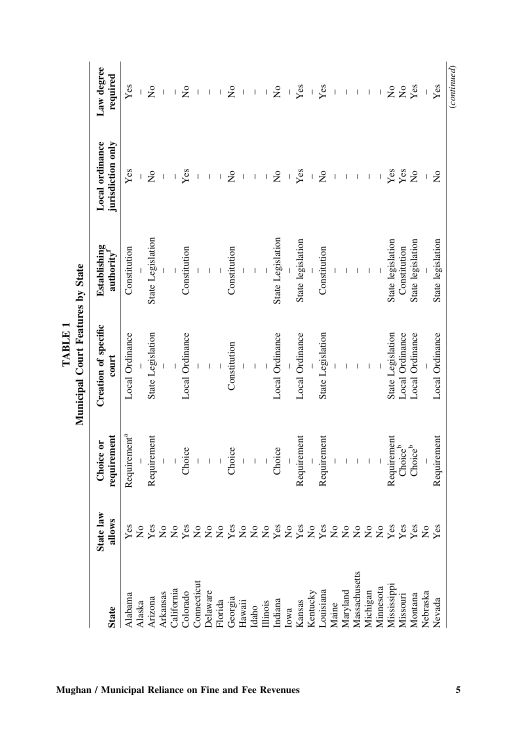| <b>State</b>                   | law<br>allows<br><b>State</b> | requirement<br>Choice or              | Creation of specific<br>$_{\rm court}$ | Establishing<br>authority | jurisdiction only<br>Local ordinance                                                                                                                                                                                                                                                                                                                                                                           | Law degree<br>required                                                                                                                                                                                                                                                                                                                                                           |
|--------------------------------|-------------------------------|---------------------------------------|----------------------------------------|---------------------------|----------------------------------------------------------------------------------------------------------------------------------------------------------------------------------------------------------------------------------------------------------------------------------------------------------------------------------------------------------------------------------------------------------------|----------------------------------------------------------------------------------------------------------------------------------------------------------------------------------------------------------------------------------------------------------------------------------------------------------------------------------------------------------------------------------|
| Alabama                        | $\mathbf{Yes}$                | Requirement <sup>a</sup>              | Local Ordinance                        | Constitution              | Yes                                                                                                                                                                                                                                                                                                                                                                                                            | Yes                                                                                                                                                                                                                                                                                                                                                                              |
| Alaska                         | z                             |                                       |                                        |                           |                                                                                                                                                                                                                                                                                                                                                                                                                |                                                                                                                                                                                                                                                                                                                                                                                  |
| Arizona                        |                               | Requirement                           | State Legislation                      | State Legislation         | $\mathsf{S}^{\mathsf{o}}$                                                                                                                                                                                                                                                                                                                                                                                      | $\mathop{\mathsf{S}}\nolimits$                                                                                                                                                                                                                                                                                                                                                   |
|                                | $_{\rm X_{\rm X}}^{\rm res}$  |                                       |                                        |                           | $\begin{array}{c} \rule{0pt}{2.5ex} \rule{0pt}{2.5ex} \rule{0pt}{2.5ex} \rule{0pt}{2.5ex} \rule{0pt}{2.5ex} \rule{0pt}{2.5ex} \rule{0pt}{2.5ex} \rule{0pt}{2.5ex} \rule{0pt}{2.5ex} \rule{0pt}{2.5ex} \rule{0pt}{2.5ex} \rule{0pt}{2.5ex} \rule{0pt}{2.5ex} \rule{0pt}{2.5ex} \rule{0pt}{2.5ex} \rule{0pt}{2.5ex} \rule{0pt}{2.5ex} \rule{0pt}{2.5ex} \rule{0pt}{2.5ex} \rule{0$                               | $\begin{array}{c} \rule{0pt}{2.5ex} \rule{0pt}{2.5ex} \rule{0pt}{2.5ex} \rule{0pt}{2.5ex} \rule{0pt}{2.5ex} \rule{0pt}{2.5ex} \rule{0pt}{2.5ex} \rule{0pt}{2.5ex} \rule{0pt}{2.5ex} \rule{0pt}{2.5ex} \rule{0pt}{2.5ex} \rule{0pt}{2.5ex} \rule{0pt}{2.5ex} \rule{0pt}{2.5ex} \rule{0pt}{2.5ex} \rule{0pt}{2.5ex} \rule{0pt}{2.5ex} \rule{0pt}{2.5ex} \rule{0pt}{2.5ex} \rule{0$ |
| Arkansas<br>California         |                               |                                       |                                        |                           | $\begin{array}{c} \end{array}$                                                                                                                                                                                                                                                                                                                                                                                 | $\begin{array}{c} \end{array}$                                                                                                                                                                                                                                                                                                                                                   |
| Colorado                       | Z ≿                           | Choice                                | Local Ordinance                        | Constitution              | Yes                                                                                                                                                                                                                                                                                                                                                                                                            | $\tilde{z}$                                                                                                                                                                                                                                                                                                                                                                      |
| Connecticut                    |                               |                                       |                                        |                           |                                                                                                                                                                                                                                                                                                                                                                                                                |                                                                                                                                                                                                                                                                                                                                                                                  |
| Delaware                       |                               | $\overline{1}$                        | $\overline{\phantom{a}}$               | $\overline{1}$            | $\begin{array}{c} \hline \end{array}$                                                                                                                                                                                                                                                                                                                                                                          | $\begin{array}{c} \hline \end{array}$                                                                                                                                                                                                                                                                                                                                            |
| Florida                        |                               |                                       |                                        |                           | $\overline{1}$                                                                                                                                                                                                                                                                                                                                                                                                 | $\mathsf I$                                                                                                                                                                                                                                                                                                                                                                      |
| Georgia                        | <b>ŽŽŽŠŽŽŽŠŽŽŽŽŽŽ</b> Ž       | Choice                                | Constitution                           | Constitution              | $\overline{\mathsf{x}}$                                                                                                                                                                                                                                                                                                                                                                                        | $\mathsf{S}^{\mathsf{o}}$                                                                                                                                                                                                                                                                                                                                                        |
| Hawaii                         |                               |                                       |                                        |                           |                                                                                                                                                                                                                                                                                                                                                                                                                |                                                                                                                                                                                                                                                                                                                                                                                  |
| Idaho                          |                               | $\begin{array}{c} \hline \end{array}$ | $\frac{1}{1}$                          | $\bar{1}$ – $\bar{1}$     | $\begin{array}{c} \rule{0pt}{2.5ex} \rule{0pt}{2.5ex} \rule{0pt}{2.5ex} \rule{0pt}{2.5ex} \rule{0pt}{2.5ex} \rule{0pt}{2.5ex} \rule{0pt}{2.5ex} \rule{0pt}{2.5ex} \rule{0pt}{2.5ex} \rule{0pt}{2.5ex} \rule{0pt}{2.5ex} \rule{0pt}{2.5ex} \rule{0pt}{2.5ex} \rule{0pt}{2.5ex} \rule{0pt}{2.5ex} \rule{0pt}{2.5ex} \rule{0pt}{2.5ex} \rule{0pt}{2.5ex} \rule{0pt}{2.5ex} \rule{0$                               | $\mathsf I$                                                                                                                                                                                                                                                                                                                                                                      |
| Illinois                       |                               |                                       |                                        |                           | $\begin{array}{c} \rule{0pt}{2ex} \rule{0pt}{2ex} \rule{0pt}{2ex} \rule{0pt}{2ex} \rule{0pt}{2ex} \rule{0pt}{2ex} \rule{0pt}{2ex} \rule{0pt}{2ex} \rule{0pt}{2ex} \rule{0pt}{2ex} \rule{0pt}{2ex} \rule{0pt}{2ex} \rule{0pt}{2ex} \rule{0pt}{2ex} \rule{0pt}{2ex} \rule{0pt}{2ex} \rule{0pt}{2ex} \rule{0pt}{2ex} \rule{0pt}{2ex} \rule{0pt}{2ex} \rule{0pt}{2ex} \rule{0pt}{2ex} \rule{0pt}{2ex} \rule{0pt}{$ | $\mathsf I$                                                                                                                                                                                                                                                                                                                                                                      |
|                                |                               | Choice                                | Local Ordinance                        | State Legislation         | $\overline{\mathsf{x}}$                                                                                                                                                                                                                                                                                                                                                                                        | $\mathsf{S}^{\mathsf{o}}$                                                                                                                                                                                                                                                                                                                                                        |
| Indiana<br>Iowa                |                               |                                       |                                        |                           |                                                                                                                                                                                                                                                                                                                                                                                                                |                                                                                                                                                                                                                                                                                                                                                                                  |
| Kansas                         |                               | Requirement                           | Local Ordinance                        | State legislation         | Yes                                                                                                                                                                                                                                                                                                                                                                                                            | Yes                                                                                                                                                                                                                                                                                                                                                                              |
|                                |                               |                                       |                                        |                           |                                                                                                                                                                                                                                                                                                                                                                                                                | $\overline{1}$                                                                                                                                                                                                                                                                                                                                                                   |
| Kentucky<br>Louisiana<br>Maine |                               | Requirement                           | State Legislation                      | Constitution              | $\frac{1}{2}$                                                                                                                                                                                                                                                                                                                                                                                                  | Yes                                                                                                                                                                                                                                                                                                                                                                              |
|                                |                               |                                       |                                        |                           |                                                                                                                                                                                                                                                                                                                                                                                                                |                                                                                                                                                                                                                                                                                                                                                                                  |
| Maryland                       |                               |                                       |                                        |                           |                                                                                                                                                                                                                                                                                                                                                                                                                |                                                                                                                                                                                                                                                                                                                                                                                  |
| Massachusetts                  |                               |                                       | $\mathbf{I}$                           |                           |                                                                                                                                                                                                                                                                                                                                                                                                                |                                                                                                                                                                                                                                                                                                                                                                                  |
| Michigan                       |                               |                                       | $\perp$                                | $\perp$                   |                                                                                                                                                                                                                                                                                                                                                                                                                | $\begin{array}{c} \end{array}$                                                                                                                                                                                                                                                                                                                                                   |
| Minnesota                      |                               |                                       |                                        |                           |                                                                                                                                                                                                                                                                                                                                                                                                                |                                                                                                                                                                                                                                                                                                                                                                                  |
| Mississippi                    |                               | Requirement                           | State Legislation                      | State legislation         |                                                                                                                                                                                                                                                                                                                                                                                                                | $\overline{\mathsf{z}}$                                                                                                                                                                                                                                                                                                                                                          |
| Missouri                       | $288$<br>$X88$                | Choice <sup>b</sup>                   | Local Ordinance                        | Constitution              | $Yes$<br>$Yes$                                                                                                                                                                                                                                                                                                                                                                                                 | $\rm \stackrel{\circ}{\mathbf{Z}}$                                                                                                                                                                                                                                                                                                                                               |
| Montana                        |                               | Choice $b$                            | Local Ordinance                        | State legislation         | $\mathop{\mathsf{S}}\nolimits$                                                                                                                                                                                                                                                                                                                                                                                 | Yes                                                                                                                                                                                                                                                                                                                                                                              |
| Nebraska                       |                               |                                       |                                        |                           |                                                                                                                                                                                                                                                                                                                                                                                                                |                                                                                                                                                                                                                                                                                                                                                                                  |
| Nevada                         |                               | Requirement                           | Local Ordinance                        | State legislation         | $\frac{1}{2}$                                                                                                                                                                                                                                                                                                                                                                                                  | Yes                                                                                                                                                                                                                                                                                                                                                                              |
|                                |                               |                                       |                                        |                           |                                                                                                                                                                                                                                                                                                                                                                                                                | (continued)                                                                                                                                                                                                                                                                                                                                                                      |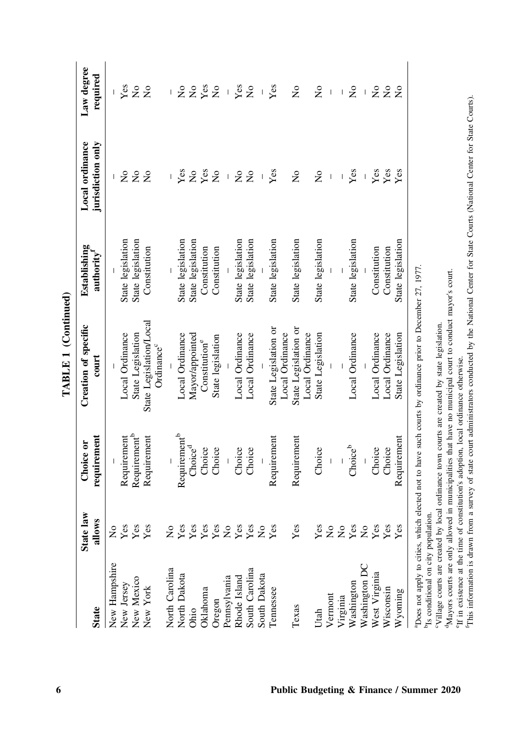|                |                                                   |                          | TABLE 1 (Continued)                                                                                       |                                        |                                      |                                                                                                                                                                                                                                                                                                                                                                                  |
|----------------|---------------------------------------------------|--------------------------|-----------------------------------------------------------------------------------------------------------|----------------------------------------|--------------------------------------|----------------------------------------------------------------------------------------------------------------------------------------------------------------------------------------------------------------------------------------------------------------------------------------------------------------------------------------------------------------------------------|
| State          | $\overline{\mathbf{a}}$<br>allows<br><b>State</b> | requirement<br>Choice or | Creation of specific<br>$_{\rm court}$                                                                    | Establishing<br>authority <sup>1</sup> | Local ordinance<br>jurisdiction only | Law degree<br>required                                                                                                                                                                                                                                                                                                                                                           |
| New Hampshire  | $\frac{1}{2}$                                     |                          |                                                                                                           |                                        |                                      |                                                                                                                                                                                                                                                                                                                                                                                  |
| New Jersey     | $_{\rm Yes}$                                      | Requirement              | Local Ordinance                                                                                           | State legislation                      | $\mathop{\mathsf{S}}\nolimits$       | Yes                                                                                                                                                                                                                                                                                                                                                                              |
| New Mexico     | $_{\rm Yes}$                                      | Requirement <sup>b</sup> | State Legislation                                                                                         | State legislation                      | $\mathsf{S}^{\mathsf{o}}$            | $\mathop{\mathsf{S}}\nolimits$                                                                                                                                                                                                                                                                                                                                                   |
| New York       | $_{\rm Yes}$                                      | Requirement              | State Legislation/Local<br>Ordinance <sup>c</sup>                                                         | Constitution                           | $\overline{a}$                       | $\tilde{Z}$                                                                                                                                                                                                                                                                                                                                                                      |
| North Carolina | $\frac{1}{2}$                                     |                          |                                                                                                           |                                        |                                      | L                                                                                                                                                                                                                                                                                                                                                                                |
| North Dakota   | $_{\rm Yes}$                                      | Requirement <sup>b</sup> | Local Ordinance                                                                                           | State legislation                      | Yes                                  | $\mathsf{S}^{\mathsf{o}}$                                                                                                                                                                                                                                                                                                                                                        |
| Ohio           | $_{\rm Yes}$                                      | Choice <sup>d</sup>      | Mayor/appointed                                                                                           | State legislation                      | $\stackrel{\mathtt{o}}{\mathsf{z}}$  | $\mathsf{S}^{\mathsf{O}}$                                                                                                                                                                                                                                                                                                                                                        |
| Oklahoma       | $_{\rm Yes}$                                      | Choice                   | $\mathsf{Construction}^e$                                                                                 | Constitution                           | Yes                                  | Yes                                                                                                                                                                                                                                                                                                                                                                              |
| Oregon         | $_{\rm Yes}$                                      | Choice                   | State legislation                                                                                         | Constitution                           | $\overline{a}$                       | $\mathsf{S}^{\mathsf{o}}$                                                                                                                                                                                                                                                                                                                                                        |
| Pennsylvania   | $\overline{\mathsf{x}}$                           | $\overline{\phantom{a}}$ |                                                                                                           |                                        |                                      | $\begin{array}{c} \end{array}$                                                                                                                                                                                                                                                                                                                                                   |
| Rhode Island   | $_{\rm Yes}$                                      | Choice                   | Local Ordinance                                                                                           | State legislation                      | $\frac{1}{2}$                        | Yes                                                                                                                                                                                                                                                                                                                                                                              |
| South Carolina | $_{\rm Yes}$                                      | Choice                   | Local Ordinance                                                                                           | State legislation                      | $\overline{\mathsf{x}}$              | $\mathsf{S}^{\mathsf{o}}$                                                                                                                                                                                                                                                                                                                                                        |
| South Dakota   | $\mathsf{S}^{\mathsf{O}}$                         |                          |                                                                                                           |                                        |                                      |                                                                                                                                                                                                                                                                                                                                                                                  |
| Tennessee      | $_{\rm Yes}$                                      | Requirement              | State Legislation or<br>Local Ordinance                                                                   | State legislation                      | Yes                                  | Yes                                                                                                                                                                                                                                                                                                                                                                              |
| Texas          | $_{\rm Yes}$                                      | Requirement              | State Legislation or<br>Local Ordinance                                                                   | State legislation                      | $\frac{1}{2}$                        | $\tilde{z}$                                                                                                                                                                                                                                                                                                                                                                      |
| Utah           | $_{\rm Yes}$                                      | Choice                   | State Legislation                                                                                         | State legislation                      | $\overline{\mathsf{x}}$              | $\mathsf{S}^{\mathsf{o}}$                                                                                                                                                                                                                                                                                                                                                        |
| Vermont        | $\frac{1}{2}$                                     |                          |                                                                                                           |                                        |                                      |                                                                                                                                                                                                                                                                                                                                                                                  |
| Virginia       | $\frac{1}{2}$                                     |                          |                                                                                                           |                                        |                                      | $\begin{array}{c} \rule{0pt}{2.5ex} \rule{0pt}{2.5ex} \rule{0pt}{2.5ex} \rule{0pt}{2.5ex} \rule{0pt}{2.5ex} \rule{0pt}{2.5ex} \rule{0pt}{2.5ex} \rule{0pt}{2.5ex} \rule{0pt}{2.5ex} \rule{0pt}{2.5ex} \rule{0pt}{2.5ex} \rule{0pt}{2.5ex} \rule{0pt}{2.5ex} \rule{0pt}{2.5ex} \rule{0pt}{2.5ex} \rule{0pt}{2.5ex} \rule{0pt}{2.5ex} \rule{0pt}{2.5ex} \rule{0pt}{2.5ex} \rule{0$ |
| Washington     | Yes                                               | Choice <sup>b</sup>      | Local Ordinance                                                                                           | State legislation                      | $Y$ es                               | $\mathsf{S}^{\mathsf{o}}$                                                                                                                                                                                                                                                                                                                                                        |
| Washington DC  | $\mathsf{S}^{\mathsf{o}}$                         |                          |                                                                                                           |                                        |                                      | $\mathsf I$                                                                                                                                                                                                                                                                                                                                                                      |
| West Virginia  | Yes                                               | Choice                   | Local Ordinance                                                                                           | Constitution                           | Yes                                  | $\mathsf{S}^{\mathsf{o}}$                                                                                                                                                                                                                                                                                                                                                        |
| Wisconsin      | $_{\rm Yes}$                                      | Choice                   | Local Ordinance                                                                                           | Constitution                           | Yes                                  | $\mathsf{S}^{\mathsf{O}}$                                                                                                                                                                                                                                                                                                                                                        |
| Wyoming        | Уeз                                               | Requirement              | State Legislation                                                                                         | State legislation                      | Yes                                  | $\tilde{z}$                                                                                                                                                                                                                                                                                                                                                                      |
|                |                                                   |                          | "Does not apply to cities, which elected not to have such courts by ordinance prior to December 27, 1977. |                                        |                                      |                                                                                                                                                                                                                                                                                                                                                                                  |

<sup>b</sup>Is conditional on city population. bIs conditional on city population.

"Village courts are created by local ordinance town courts are created by state legislation. cVillage courts are created by local ordinance town courts are created by state legislation.

<sup>4</sup>Mayors courts are only allowed in municipalities that have no municipal court to conduct mayor's court. dMayors courts are only allowed in municipalities that have no municipal court to conduct mayor's court.

<sup>6</sup>If in existence at the time of constitution's adoption, local ordinance otherwise. <sup>9</sup>If in existence at the time of constitution's adoption, local ordinance otherwise.

"This information is drawn from a survey of state court administrators conducted by the National Center for State Courts (National Center for State Courts). fThis information is drawn from a survey of state court administrators conducted by the National Center for State Courts (National Center for State Courts).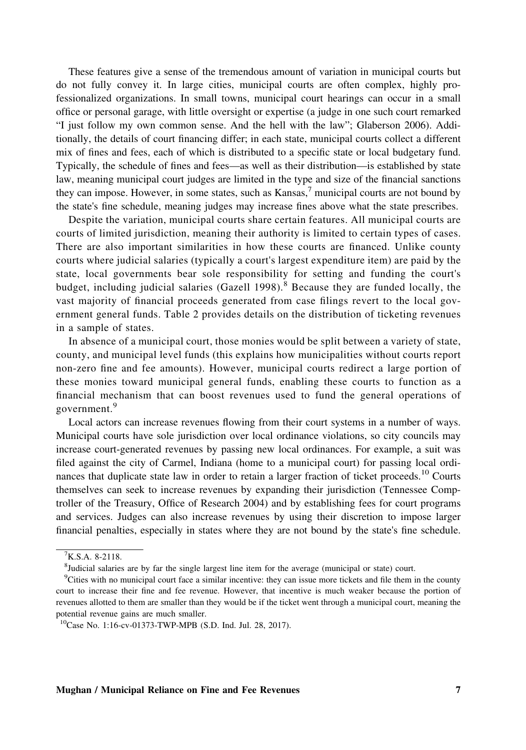These features give a sense of the tremendous amount of variation in municipal courts but do not fully convey it. In large cities, municipal courts are often complex, highly professionalized organizations. In small towns, municipal court hearings can occur in a small office or personal garage, with little oversight or expertise (a judge in one such court remarked "I just follow my own common sense. And the hell with the law"; Glaberson 2006). Additionally, the details of court financing differ; in each state, municipal courts collect a different mix of fines and fees, each of which is distributed to a specific state or local budgetary fund. Typically, the schedule of fines and fees—as well as their distribution—is established by state law, meaning municipal court judges are limited in the type and size of the financial sanctions they can impose. However, in some states, such as  $Kansas$ , municipal courts are not bound by the state's fine schedule, meaning judges may increase fines above what the state prescribes.

Despite the variation, municipal courts share certain features. All municipal courts are courts of limited jurisdiction, meaning their authority is limited to certain types of cases. There are also important similarities in how these courts are financed. Unlike county courts where judicial salaries (typically a court's largest expenditure item) are paid by the state, local governments bear sole responsibility for setting and funding the court's budget, including judicial salaries (Gazell 1998).<sup>8</sup> Because they are funded locally, the vast majority of financial proceeds generated from case filings revert to the local government general funds. Table 2 provides details on the distribution of ticketing revenues in a sample of states.

In absence of a municipal court, those monies would be split between a variety of state, county, and municipal level funds (this explains how municipalities without courts report non‐zero fine and fee amounts). However, municipal courts redirect a large portion of these monies toward municipal general funds, enabling these courts to function as a financial mechanism that can boost revenues used to fund the general operations of government.<sup>9</sup>

Local actors can increase revenues flowing from their court systems in a number of ways. Municipal courts have sole jurisdiction over local ordinance violations, so city councils may increase court‐generated revenues by passing new local ordinances. For example, a suit was filed against the city of Carmel, Indiana (home to a municipal court) for passing local ordinances that duplicate state law in order to retain a larger fraction of ticket proceeds.<sup>10</sup> Courts themselves can seek to increase revenues by expanding their jurisdiction (Tennessee Comptroller of the Treasury, Office of Research 2004) and by establishing fees for court programs and services. Judges can also increase revenues by using their discretion to impose larger financial penalties, especially in states where they are not bound by the state's fine schedule.

 $K.S.A. 8-2118.$ 

<sup>&</sup>lt;sup>8</sup>Judicial salaries are by far the single largest line item for the average (municipal or state) court.

<sup>9</sup> Cities with no municipal court face a similar incentive: they can issue more tickets and file them in the county court to increase their fine and fee revenue. However, that incentive is much weaker because the portion of revenues allotted to them are smaller than they would be if the ticket went through a municipal court, meaning the potential revenue gains are much smaller.

<sup>10</sup>Case No. 1:16‐cv‐01373‐TWP‐MPB (S.D. Ind. Jul. 28, 2017).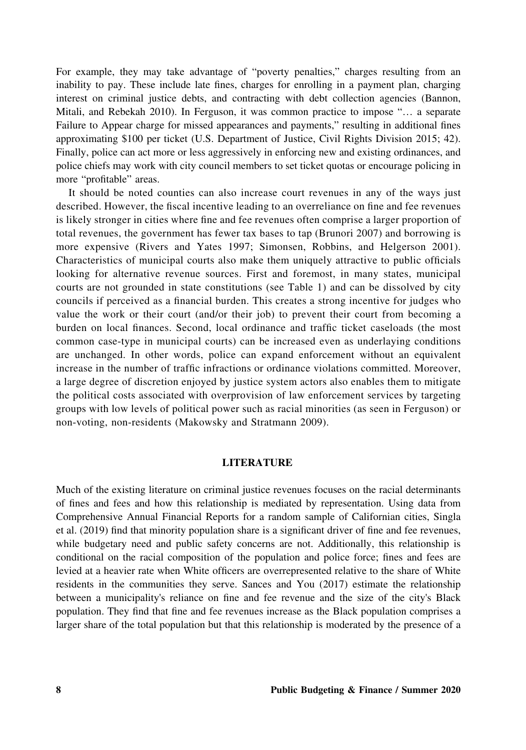For example, they may take advantage of "poverty penalties," charges resulting from an inability to pay. These include late fines, charges for enrolling in a payment plan, charging interest on criminal justice debts, and contracting with debt collection agencies (Bannon, Mitali, and Rebekah 2010). In Ferguson, it was common practice to impose "… a separate Failure to Appear charge for missed appearances and payments," resulting in additional fines approximating \$100 per ticket (U.S. Department of Justice, Civil Rights Division 2015; 42). Finally, police can act more or less aggressively in enforcing new and existing ordinances, and police chiefs may work with city council members to set ticket quotas or encourage policing in more "profitable" areas.

It should be noted counties can also increase court revenues in any of the ways just described. However, the fiscal incentive leading to an overreliance on fine and fee revenues is likely stronger in cities where fine and fee revenues often comprise a larger proportion of total revenues, the government has fewer tax bases to tap (Brunori 2007) and borrowing is more expensive (Rivers and Yates 1997; Simonsen, Robbins, and Helgerson 2001). Characteristics of municipal courts also make them uniquely attractive to public officials looking for alternative revenue sources. First and foremost, in many states, municipal courts are not grounded in state constitutions (see Table 1) and can be dissolved by city councils if perceived as a financial burden. This creates a strong incentive for judges who value the work or their court (and/or their job) to prevent their court from becoming a burden on local finances. Second, local ordinance and traffic ticket caseloads (the most common case‐type in municipal courts) can be increased even as underlaying conditions are unchanged. In other words, police can expand enforcement without an equivalent increase in the number of traffic infractions or ordinance violations committed. Moreover, a large degree of discretion enjoyed by justice system actors also enables them to mitigate the political costs associated with overprovision of law enforcement services by targeting groups with low levels of political power such as racial minorities (as seen in Ferguson) or non‐voting, non‐residents (Makowsky and Stratmann 2009).

### LITERATURE

Much of the existing literature on criminal justice revenues focuses on the racial determinants of fines and fees and how this relationship is mediated by representation. Using data from Comprehensive Annual Financial Reports for a random sample of Californian cities, Singla et al. (2019) find that minority population share is a significant driver of fine and fee revenues, while budgetary need and public safety concerns are not. Additionally, this relationship is conditional on the racial composition of the population and police force; fines and fees are levied at a heavier rate when White officers are overrepresented relative to the share of White residents in the communities they serve. Sances and You (2017) estimate the relationship between a municipality's reliance on fine and fee revenue and the size of the city's Black population. They find that fine and fee revenues increase as the Black population comprises a larger share of the total population but that this relationship is moderated by the presence of a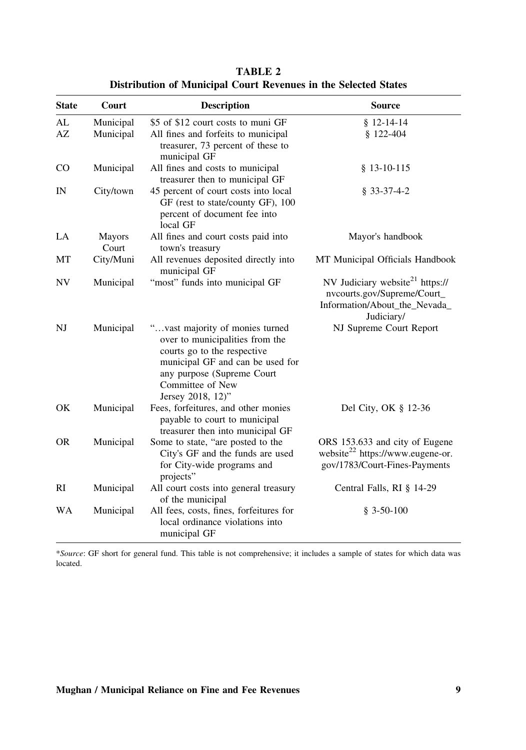| <b>State</b> | Court                  | <b>Description</b>                                                                                                                                                                                           | <b>Source</b>                                                                                                             |
|--------------|------------------------|--------------------------------------------------------------------------------------------------------------------------------------------------------------------------------------------------------------|---------------------------------------------------------------------------------------------------------------------------|
| AL           | Municipal              | \$5 of \$12 court costs to muni GF                                                                                                                                                                           | $$12-14-14$                                                                                                               |
| AZ           | Municipal              | All fines and forfeits to municipal<br>treasurer, 73 percent of these to<br>municipal GF                                                                                                                     | $$122-404$                                                                                                                |
| CO           | Municipal              | All fines and costs to municipal<br>treasurer then to municipal GF                                                                                                                                           | $$13-10-115$                                                                                                              |
| IN           | City/town              | 45 percent of court costs into local<br>GF (rest to state/county GF), 100<br>percent of document fee into<br>local GF                                                                                        | $§$ 33-37-4-2                                                                                                             |
| LA           | <b>Mayors</b><br>Court | All fines and court costs paid into<br>town's treasury                                                                                                                                                       | Mayor's handbook                                                                                                          |
| МT           | City/Muni              | All revenues deposited directly into<br>municipal GF                                                                                                                                                         | MT Municipal Officials Handbook                                                                                           |
| <b>NV</b>    | Municipal              | "most" funds into municipal GF                                                                                                                                                                               | NV Judiciary website <sup>21</sup> https://<br>nvcourts.gov/Supreme/Court_<br>Information/About_the_Nevada_<br>Judiciary/ |
| NJ           | Municipal              | "vast majority of monies turned<br>over to municipalities from the<br>courts go to the respective<br>municipal GF and can be used for<br>any purpose (Supreme Court<br>Committee of New<br>Jersey 2018, 12)" | NJ Supreme Court Report                                                                                                   |
| OK           | Municipal              | Fees, forfeitures, and other monies<br>payable to court to municipal<br>treasurer then into municipal GF                                                                                                     | Del City, OK § 12-36                                                                                                      |
| <b>OR</b>    | Municipal              | Some to state, "are posted to the<br>City's GF and the funds are used<br>for City-wide programs and<br>projects"                                                                                             | ORS 153.633 and city of Eugene<br>website <sup>22</sup> https://www.eugene-or.<br>gov/1783/Court-Fines-Payments           |
| RI           | Municipal              | All court costs into general treasury<br>of the municipal                                                                                                                                                    | Central Falls, RI § 14-29                                                                                                 |
| WA           | Municipal              | All fees, costs, fines, forfeitures for<br>local ordinance violations into<br>municipal GF                                                                                                                   | $$3-50-100$                                                                                                               |

TABLE 2 Distribution of Municipal Court Revenues in the Selected States

\*Source: GF short for general fund. This table is not comprehensive; it includes a sample of states for which data was located.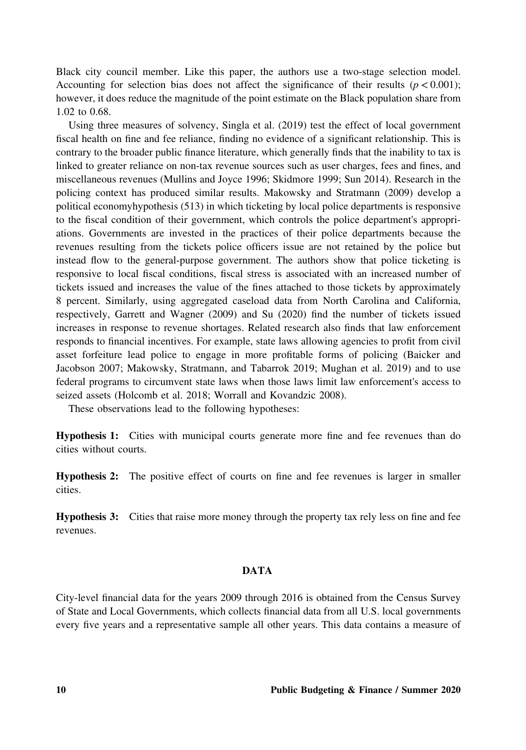Black city council member. Like this paper, the authors use a two-stage selection model. Accounting for selection bias does not affect the significance of their results ( $p < 0.001$ ); however, it does reduce the magnitude of the point estimate on the Black population share from 1.02 to 0.68.

Using three measures of solvency, Singla et al. (2019) test the effect of local government fiscal health on fine and fee reliance, finding no evidence of a significant relationship. This is contrary to the broader public finance literature, which generally finds that the inability to tax is linked to greater reliance on non-tax revenue sources such as user charges, fees and fines, and miscellaneous revenues (Mullins and Joyce 1996; Skidmore 1999; Sun 2014). Research in the policing context has produced similar results. Makowsky and Stratmann (2009) develop a political economyhypothesis (513) in which ticketing by local police departments is responsive to the fiscal condition of their government, which controls the police department's appropriations. Governments are invested in the practices of their police departments because the revenues resulting from the tickets police officers issue are not retained by the police but instead flow to the general‐purpose government. The authors show that police ticketing is responsive to local fiscal conditions, fiscal stress is associated with an increased number of tickets issued and increases the value of the fines attached to those tickets by approximately 8 percent. Similarly, using aggregated caseload data from North Carolina and California, respectively, Garrett and Wagner (2009) and Su (2020) find the number of tickets issued increases in response to revenue shortages. Related research also finds that law enforcement responds to financial incentives. For example, state laws allowing agencies to profit from civil asset forfeiture lead police to engage in more profitable forms of policing (Baicker and Jacobson 2007; Makowsky, Stratmann, and Tabarrok 2019; Mughan et al. 2019) and to use federal programs to circumvent state laws when those laws limit law enforcement's access to seized assets (Holcomb et al. 2018; Worrall and Kovandzic 2008).

These observations lead to the following hypotheses:

Hypothesis 1: Cities with municipal courts generate more fine and fee revenues than do cities without courts.

Hypothesis 2: The positive effect of courts on fine and fee revenues is larger in smaller cities.

Hypothesis 3: Cities that raise more money through the property tax rely less on fine and fee revenues.

### **DATA**

City‐level financial data for the years 2009 through 2016 is obtained from the Census Survey of State and Local Governments, which collects financial data from all U.S. local governments every five years and a representative sample all other years. This data contains a measure of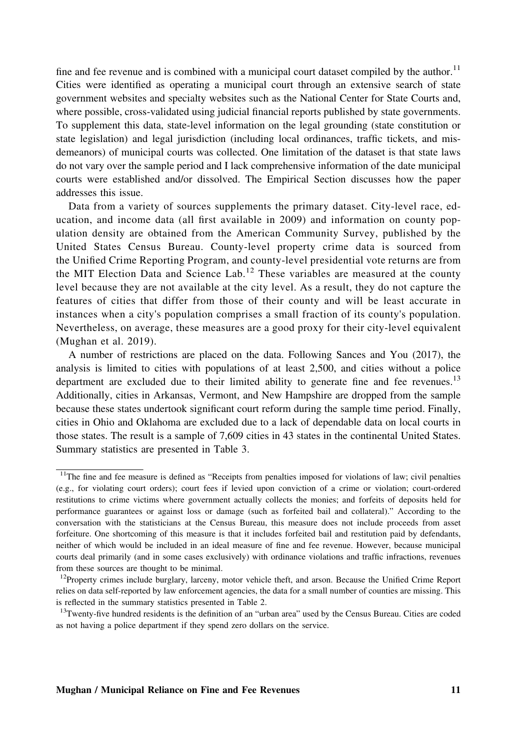fine and fee revenue and is combined with a municipal court dataset compiled by the author.<sup>11</sup> Cities were identified as operating a municipal court through an extensive search of state government websites and specialty websites such as the National Center for State Courts and, where possible, cross-validated using judicial financial reports published by state governments. To supplement this data, state‐level information on the legal grounding (state constitution or state legislation) and legal jurisdiction (including local ordinances, traffic tickets, and misdemeanors) of municipal courts was collected. One limitation of the dataset is that state laws do not vary over the sample period and I lack comprehensive information of the date municipal courts were established and/or dissolved. The Empirical Section discusses how the paper addresses this issue.

Data from a variety of sources supplements the primary dataset. City-level race, education, and income data (all first available in 2009) and information on county population density are obtained from the American Community Survey, published by the United States Census Bureau. County‐level property crime data is sourced from the Unified Crime Reporting Program, and county‐level presidential vote returns are from the MIT Election Data and Science Lab.<sup>12</sup> These variables are measured at the county level because they are not available at the city level. As a result, they do not capture the features of cities that differ from those of their county and will be least accurate in instances when a city's population comprises a small fraction of its county's population. Nevertheless, on average, these measures are a good proxy for their city‐level equivalent (Mughan et al. 2019).

A number of restrictions are placed on the data. Following Sances and You (2017), the analysis is limited to cities with populations of at least 2,500, and cities without a police department are excluded due to their limited ability to generate fine and fee revenues.<sup>13</sup> Additionally, cities in Arkansas, Vermont, and New Hampshire are dropped from the sample because these states undertook significant court reform during the sample time period. Finally, cities in Ohio and Oklahoma are excluded due to a lack of dependable data on local courts in those states. The result is a sample of 7,609 cities in 43 states in the continental United States. Summary statistics are presented in Table 3.

<sup>&</sup>lt;sup>11</sup>The fine and fee measure is defined as "Receipts from penalties imposed for violations of law; civil penalties (e.g., for violating court orders); court fees if levied upon conviction of a crime or violation; court‐ordered restitutions to crime victims where government actually collects the monies; and forfeits of deposits held for performance guarantees or against loss or damage (such as forfeited bail and collateral)." According to the conversation with the statisticians at the Census Bureau, this measure does not include proceeds from asset forfeiture. One shortcoming of this measure is that it includes forfeited bail and restitution paid by defendants, neither of which would be included in an ideal measure of fine and fee revenue. However, because municipal courts deal primarily (and in some cases exclusively) with ordinance violations and traffic infractions, revenues from these sources are thought to be minimal.

<sup>&</sup>lt;sup>12</sup>Property crimes include burglary, larceny, motor vehicle theft, and arson. Because the Unified Crime Report relies on data self-reported by law enforcement agencies, the data for a small number of counties are missing. This is reflected in the summary statistics presented in Table 2.

<sup>&</sup>lt;sup>13</sup>Twenty-five hundred residents is the definition of an "urban area" used by the Census Bureau. Cities are coded as not having a police department if they spend zero dollars on the service.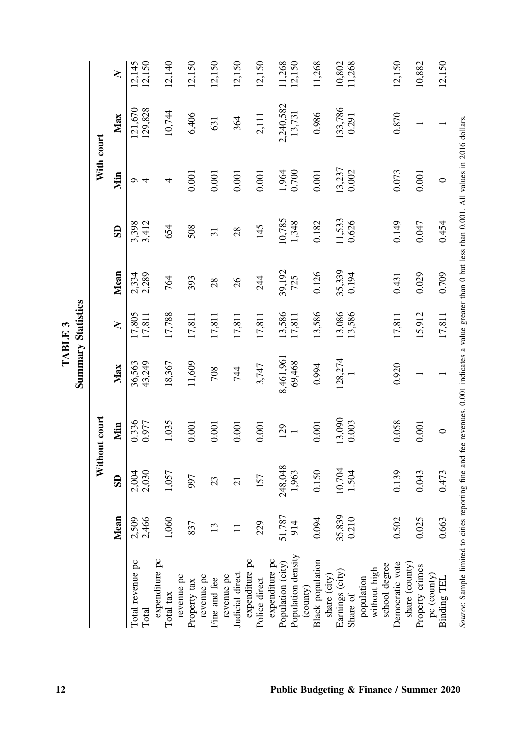|                                                                                                                                                           |                 |                         |                 |                  | <b>Summary Statistics</b><br>TABLE 3 |                 |                 |                 |                    |                  |
|-----------------------------------------------------------------------------------------------------------------------------------------------------------|-----------------|-------------------------|-----------------|------------------|--------------------------------------|-----------------|-----------------|-----------------|--------------------|------------------|
|                                                                                                                                                           |                 |                         | Without court   |                  |                                      |                 |                 | With court      |                    |                  |
|                                                                                                                                                           | Mean            | $\overline{\mathbf{s}}$ | Nin             | Max              | $\geq$                               | Mean            | $\mathbf{S}$    | Min             | Max                | $\geq$           |
| Total revenue pc<br>Total                                                                                                                                 | 2,509<br>2,466  | 2,004<br>2,030          | 0.336<br>0.977  | 36,563<br>43,249 | 17,805<br>17,811                     | 2,334<br>2,289  | 3,398<br>3,412  | $\sigma$ 4      | 121,670<br>129,828 | 12,145<br>12,150 |
| expenditure pc                                                                                                                                            |                 |                         |                 |                  |                                      |                 |                 |                 |                    |                  |
| Total tax                                                                                                                                                 | 1,060           | 1,057                   | 1.035           | 18,367           | 17,788                               | 764             | 654             | 4               | 10,744             | 12,140           |
| revenue pc<br>Property tax                                                                                                                                | 837             | 997                     | $0.001\,$       | 11,609           | 17,811                               | 393             | 508             | 0.001           | 6,406              | 12,150           |
| revenue pc<br>Fine and fee                                                                                                                                | $\overline{13}$ | $\mathfrak{Z}$          | 0.001           | 708              | 17,811                               | 28              | $\overline{31}$ | 0.001           | 631                | 12,150           |
| Judicial direct<br>revenue pc                                                                                                                             |                 | $\overline{c}$          | 0.001           | 744              | 17,811                               | 26              | 28              | 0.001           | 364                | 12,150           |
| expenditure pc<br>Police direct                                                                                                                           | 229             | 157                     | $0.001$         | 3,747            | 17,811                               | 244             | 145             | 0.001           | 2,111              | 12,150           |
| expenditure pc<br>Population (city)                                                                                                                       | 51,787          | 248,048                 | 129             | 8,461,961        | 13,586                               | 39,192          | 10,785          |                 | 2,240,582          | 11,268           |
| Population density                                                                                                                                        | 914             | 1,963                   |                 | 69,468           | 17,811                               | 725             | 1,348           | 1,964<br>0.700  | 13,731             | 12,150           |
| <b>Black</b> population<br>(county)                                                                                                                       | 0.094           | 0.150                   | $0.001\,$       | 0.994            | 13,586                               | 0.126           | 0.182           | $0.001\,$       | 0.986              | 11,268           |
| Earnings (city)<br>share (city)<br>Share of                                                                                                               | 35,839<br>0.210 | 10,704<br>1.504         | 13,090<br>0.003 | 128,274          | 13,086<br>13,586                     | 35,339<br>0.194 | 11,533<br>0.626 | 13,237<br>0.002 | 133,786<br>0.291   | 10,802<br>11,268 |
| without high<br>population                                                                                                                                |                 |                         |                 |                  |                                      |                 |                 |                 |                    |                  |
| Democratic vote<br>school degree                                                                                                                          | 0.502           | 0.139                   | 0.058           | 0.920            | 17,811                               | 0.431           | 0.149           | 0.073           | 0.870              | 12,150           |
| share (county)<br>Property crimes                                                                                                                         | 5<br>0.02       | 0.043                   | 0.001           |                  | 15,912                               | 0.029           | 0.047           | 0.001           |                    | 10,882           |
| $pc$ (county)<br>Binding TEL                                                                                                                              | 0.663           | 0.473                   | $\circ$         |                  | 17,811                               | 0.709           | 0.454           | $\circ$         |                    | 12,150           |
| Source: Sample limited to cities reporting fine and fee revenues. 0.001 indicates a value greater than 0 but less than 0.001. All values in 2016 dollars. |                 |                         |                 |                  |                                      |                 |                 |                 |                    |                  |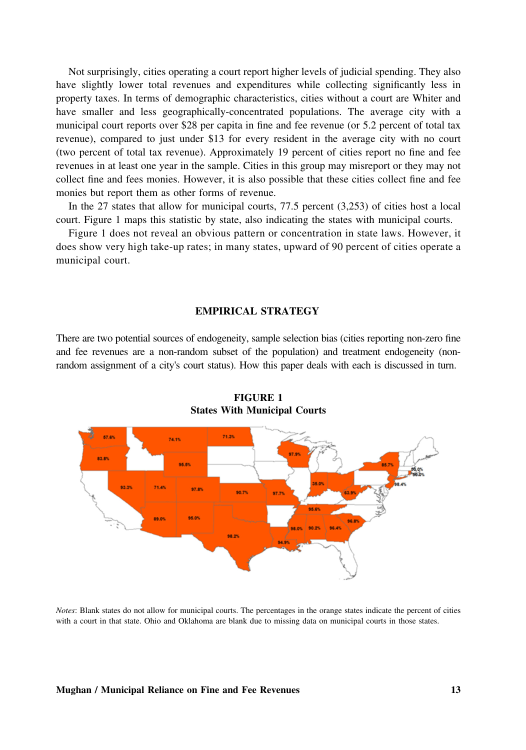Not surprisingly, cities operating a court report higher levels of judicial spending. They also have slightly lower total revenues and expenditures while collecting significantly less in property taxes. In terms of demographic characteristics, cities without a court are Whiter and have smaller and less geographically-concentrated populations. The average city with a municipal court reports over \$28 per capita in fine and fee revenue (or 5.2 percent of total tax revenue), compared to just under \$13 for every resident in the average city with no court (two percent of total tax revenue). Approximately 19 percent of cities report no fine and fee revenues in at least one year in the sample. Cities in this group may misreport or they may not collect fine and fees monies. However, it is also possible that these cities collect fine and fee monies but report them as other forms of revenue.

In the 27 states that allow for municipal courts, 77.5 percent (3,253) of cities host a local court. Figure 1 maps this statistic by state, also indicating the states with municipal courts.

Figure 1 does not reveal an obvious pattern or concentration in state laws. However, it does show very high take‐up rates; in many states, upward of 90 percent of cities operate a municipal court.

### EMPIRICAL STRATEGY

There are two potential sources of endogeneity, sample selection bias (cities reporting non-zero fine and fee revenues are a non-random subset of the population) and treatment endogeneity (nonrandom assignment of a city's court status). How this paper deals with each is discussed in turn.



FIGURE 1 States With Municipal Courts

Notes: Blank states do not allow for municipal courts. The percentages in the orange states indicate the percent of cities with a court in that state. Ohio and Oklahoma are blank due to missing data on municipal courts in those states.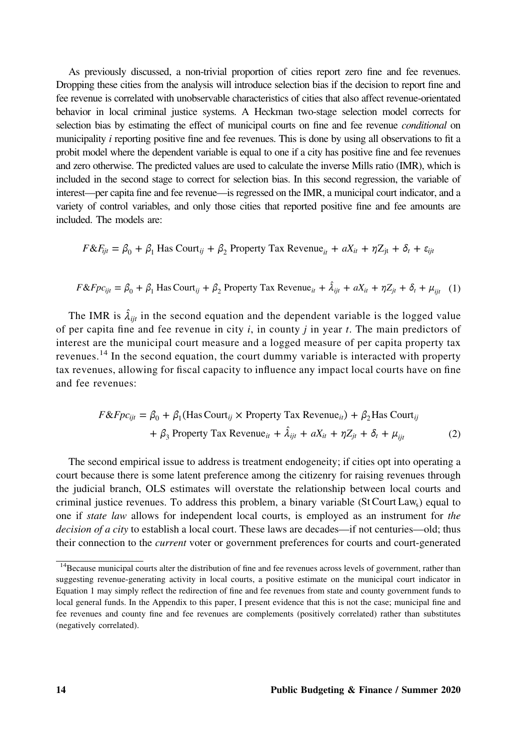As previously discussed, a non-trivial proportion of cities report zero fine and fee revenues. Dropping these cities from the analysis will introduce selection bias if the decision to report fine and fee revenue is correlated with unobservable characteristics of cities that also affect revenue‐orientated behavior in local criminal justice systems. A Heckman two-stage selection model corrects for selection bias by estimating the effect of municipal courts on fine and fee revenue *conditional* on municipality  $i$  reporting positive fine and fee revenues. This is done by using all observations to fit a probit model where the dependent variable is equal to one if a city has positive fine and fee revenues and zero otherwise. The predicted values are used to calculate the inverse Mills ratio (IMR), which is included in the second stage to correct for selection bias. In this second regression, the variable of interest—per capita fine and fee revenue—is regressed on the IMR, a municipal court indicator, and a variety of control variables, and only those cities that reported positive fine and fee amounts are included. The models are:

 $F \& F_{ijt} = \beta_0 + \beta_1$  Has Court<sub>ij</sub> +  $\beta_2$  Property Tax Revenue<sub>it</sub> +  $aX_{it} + \eta Z_{jt} + \delta_t + \varepsilon_{ijt}$ 

$$
F \& Fp c_{ijt} = \beta_0 + \beta_1 \text{ Has Court}_{ij} + \beta_2 \text{ Property Tax Revenue}_{it} + \hat{\lambda}_{ijt} + aX_{it} + \eta Z_{jt} + \delta_t + \mu_{ijt} \quad (1)
$$

The IMR is  $\hat{\lambda}_{ijt}$  in the second equation and the dependent variable is the logged value of per capita fine and fee revenue in city  $i$ , in county  $j$  in year  $t$ . The main predictors of interest are the municipal court measure and a logged measure of per capita property tax revenues.<sup>14</sup> In the second equation, the court dummy variable is interacted with property tax revenues, allowing for fiscal capacity to influence any impact local courts have on fine and fee revenues:

$$
F \& Fpc_{ijt} = \beta_0 + \beta_1 (\text{Has Court}_{ij} \times \text{Property Tax Revenue}_{it}) + \beta_2 \text{Has Court}_{ij}
$$

$$
+ \beta_3 \text{ Property Tax Revenue}_{it} + \hat{\lambda}_{ijt} + aX_{it} + \eta Z_{jt} + \delta_t + \mu_{ijt}
$$
(2)

The second empirical issue to address is treatment endogeneity; if cities opt into operating a court because there is some latent preference among the citizenry for raising revenues through the judicial branch, OLS estimates will overstate the relationship between local courts and criminal justice revenues. To address this problem, a binary variable (St Court Laws) equal to one if *state law* allows for independent local courts, is employed as an instrument for the *decision of a city* to establish a local court. These laws are decades—if not centuries—old; thus their connection to the *current* voter or government preferences for courts and court-generated

<sup>&</sup>lt;sup>14</sup>Because municipal courts alter the distribution of fine and fee revenues across levels of government, rather than suggesting revenue-generating activity in local courts, a positive estimate on the municipal court indicator in Equation 1 may simply reflect the redirection of fine and fee revenues from state and county government funds to local general funds. In the Appendix to this paper, I present evidence that this is not the case; municipal fine and fee revenues and county fine and fee revenues are complements (positively correlated) rather than substitutes (negatively correlated).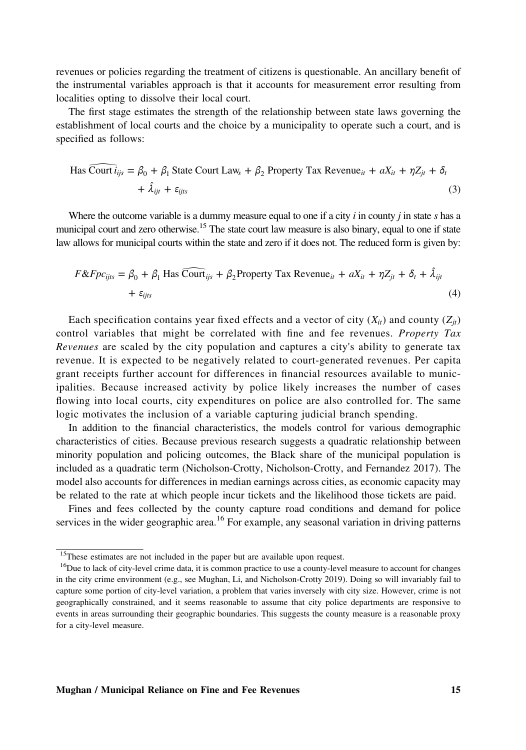revenues or policies regarding the treatment of citizens is questionable. An ancillary benefit of the instrumental variables approach is that it accounts for measurement error resulting from localities opting to dissolve their local court.

The first stage estimates the strength of the relationship between state laws governing the establishment of local courts and the choice by a municipality to operate such a court, and is specified as follows:

$$
\text{Has } \widehat{\text{Count } i_{ijs}} = \beta_0 + \beta_1 \text{ State Court Law}_s + \beta_2 \text{ Property Tax Revenue}_{it} + aX_{it} + \eta Z_{jt} + \delta_t
$$
\n
$$
+ \hat{\lambda}_{ijt} + \varepsilon_{ijts} \tag{3}
$$

Where the outcome variable is a dummy measure equal to one if a city  $i$  in county  $j$  in state  $s$  has a municipal court and zero otherwise.<sup>15</sup> The state court law measure is also binary, equal to one if state law allows for municipal courts within the state and zero if it does not. The reduced form is given by:

$$
F \& F \rho c_{ijts} = \beta_0 + \beta_1 \text{ Has } \widehat{\text{Count}}_{ijs} + \beta_2 \text{Property Tax Revenue}_{it} + aX_{it} + \eta Z_{jt} + \delta_t + \hat{\lambda}_{ijt}
$$
\n
$$
(4)
$$

Each specification contains year fixed effects and a vector of city  $(X_{it})$  and county  $(Z_{it})$ control variables that might be correlated with fine and fee revenues. Property Tax Revenues are scaled by the city population and captures a city's ability to generate tax revenue. It is expected to be negatively related to court-generated revenues. Per capita grant receipts further account for differences in financial resources available to municipalities. Because increased activity by police likely increases the number of cases flowing into local courts, city expenditures on police are also controlled for. The same logic motivates the inclusion of a variable capturing judicial branch spending.

In addition to the financial characteristics, the models control for various demographic characteristics of cities. Because previous research suggests a quadratic relationship between minority population and policing outcomes, the Black share of the municipal population is included as a quadratic term (Nicholson‐Crotty, Nicholson‐Crotty, and Fernandez 2017). The model also accounts for differences in median earnings across cities, as economic capacity may be related to the rate at which people incur tickets and the likelihood those tickets are paid.

Fines and fees collected by the county capture road conditions and demand for police services in the wider geographic area.<sup>16</sup> For example, any seasonal variation in driving patterns

<sup>&</sup>lt;sup>15</sup>These estimates are not included in the paper but are available upon request.

<sup>&</sup>lt;sup>16</sup>Due to lack of city-level crime data, it is common practice to use a county-level measure to account for changes in the city crime environment (e.g., see Mughan, Li, and Nicholson‐Crotty 2019). Doing so will invariably fail to capture some portion of city-level variation, a problem that varies inversely with city size. However, crime is not geographically constrained, and it seems reasonable to assume that city police departments are responsive to events in areas surrounding their geographic boundaries. This suggests the county measure is a reasonable proxy for a city‐level measure.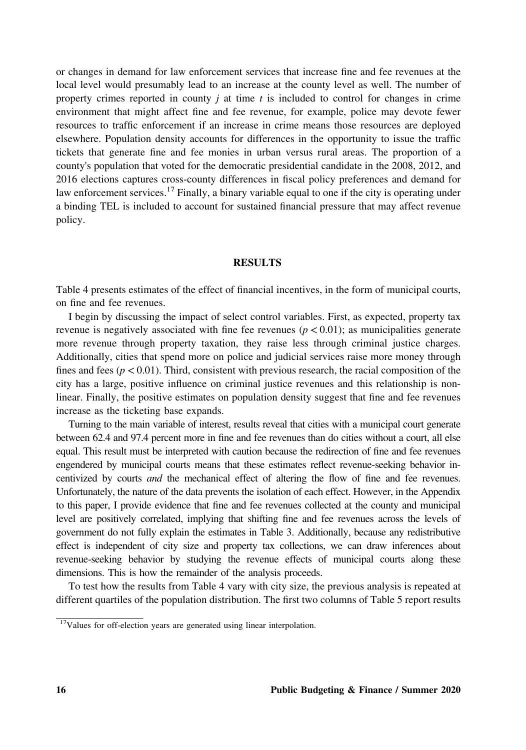or changes in demand for law enforcement services that increase fine and fee revenues at the local level would presumably lead to an increase at the county level as well. The number of property crimes reported in county  $j$  at time  $t$  is included to control for changes in crime environment that might affect fine and fee revenue, for example, police may devote fewer resources to traffic enforcement if an increase in crime means those resources are deployed elsewhere. Population density accounts for differences in the opportunity to issue the traffic tickets that generate fine and fee monies in urban versus rural areas. The proportion of a county's population that voted for the democratic presidential candidate in the 2008, 2012, and 2016 elections captures cross‐county differences in fiscal policy preferences and demand for law enforcement services.<sup>17</sup> Finally, a binary variable equal to one if the city is operating under a binding TEL is included to account for sustained financial pressure that may affect revenue policy.

### RESULTS

Table 4 presents estimates of the effect of financial incentives, in the form of municipal courts, on fine and fee revenues.

I begin by discussing the impact of select control variables. First, as expected, property tax revenue is negatively associated with fine fee revenues ( $p < 0.01$ ); as municipalities generate more revenue through property taxation, they raise less through criminal justice charges. Additionally, cities that spend more on police and judicial services raise more money through fines and fees ( $p < 0.01$ ). Third, consistent with previous research, the racial composition of the city has a large, positive influence on criminal justice revenues and this relationship is nonlinear. Finally, the positive estimates on population density suggest that fine and fee revenues increase as the ticketing base expands.

Turning to the main variable of interest, results reveal that cities with a municipal court generate between 62.4 and 97.4 percent more in fine and fee revenues than do cities without a court, all else equal. This result must be interpreted with caution because the redirection of fine and fee revenues engendered by municipal courts means that these estimates reflect revenue-seeking behavior incentivized by courts *and* the mechanical effect of altering the flow of fine and fee revenues. Unfortunately, the nature of the data prevents the isolation of each effect. However, in the Appendix to this paper, I provide evidence that fine and fee revenues collected at the county and municipal level are positively correlated, implying that shifting fine and fee revenues across the levels of government do not fully explain the estimates in Table 3. Additionally, because any redistributive effect is independent of city size and property tax collections, we can draw inferences about revenue‐seeking behavior by studying the revenue effects of municipal courts along these dimensions. This is how the remainder of the analysis proceeds.

To test how the results from Table 4 vary with city size, the previous analysis is repeated at different quartiles of the population distribution. The first two columns of Table 5 report results

<sup>&</sup>lt;sup>17</sup>Values for off-election years are generated using linear interpolation.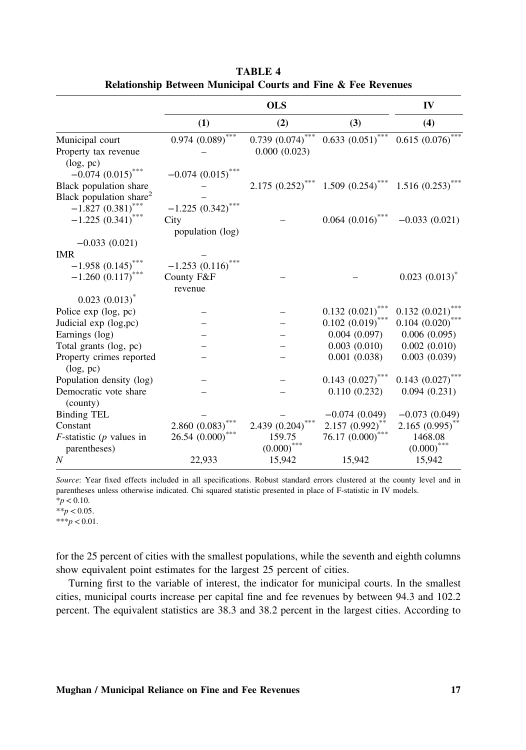|                                                                                                                 |                                             | <b>OLS</b>                           |                         | IV                              |
|-----------------------------------------------------------------------------------------------------------------|---------------------------------------------|--------------------------------------|-------------------------|---------------------------------|
|                                                                                                                 | (1)                                         | (2)                                  | (3)                     | (4)                             |
| Municipal court<br>Property tax revenue                                                                         | $0.974~(0.089)^{***}$                       | $0.739(0.074)^{***}$<br>0.000(0.023) | $0.633(0.051)^{***}$    | $0.615~(0.076)$ ***             |
| (log, pc)<br>$-0.074$ $(0.015)$ <sup>***</sup><br>Black population share<br>Black population share <sup>2</sup> | $-0.074(0.015)$                             | $2.175(0.252)^{^{\circ}}$            | $1.509$ $(0.254)$ ***   | 1.516(0.253)                    |
| $-1.827(0.381)^{*}$<br>$-1.225(0.341)$                                                                          | $-1.225(0.342)$<br>City<br>population (log) |                                      | $0.064\ (0.016) ^{***}$ | $-0.033(0.021)$                 |
| $-0.033(0.021)$<br><b>IMR</b><br>$-1.958(0.145)$<br>***<br>$-1.260(0.117)$                                      | $-1.253(0.116)$<br>County F&F<br>revenue    |                                      |                         | $0.023(0.013)^{*}$              |
| $0.023(0.013)^{*}$<br>Police exp (log, pc)                                                                      |                                             |                                      | 0.132(0.021)            | $0.132 (0.021)$ ***             |
| Judicial exp (log,pc)                                                                                           |                                             |                                      | $0.102 (0.019)^{*}$     | $0.104~(0.020)$ ***             |
| Earnings (log)                                                                                                  |                                             |                                      | 0.004(0.097)            | 0.006(0.095)                    |
| Total grants (log, pc)                                                                                          |                                             |                                      | 0.003(0.010)            | 0.002(0.010)                    |
| Property crimes reported<br>(log, pc)                                                                           |                                             |                                      | 0.001(0.038)            | 0.003(0.039)                    |
| Population density (log)                                                                                        |                                             |                                      | $0.143$ $(0.027)$ ***   | $0.143$ $(0.027)$ ***           |
| Democratic vote share<br>(county)                                                                               |                                             |                                      | 0.110(0.232)            | 0.094(0.231)                    |
| <b>Binding TEL</b>                                                                                              |                                             |                                      | $-0.074(0.049)$         | $-0.073(0.049)$                 |
| Constant                                                                                                        | 2.860 (0.083)                               | 2.439 (0.204)                        | $2.157 (0.992)^{**}$    | $2.165$ $(0.995)$ <sup>**</sup> |
| $F$ -statistic ( $p$ values in<br>parentheses)                                                                  | ***<br>26.54 (0.000)                        | 159.75<br>(0.000)                    | ***<br>76.17(0.000)     | 1468.08<br>(0.000)              |
| $\boldsymbol{N}$                                                                                                | 22,933                                      | 15,942                               | 15,942                  | 15,942                          |

TABLE 4 Relationship Between Municipal Courts and Fine & Fee Revenues

Source: Year fixed effects included in all specifications. Robust standard errors clustered at the county level and in parentheses unless otherwise indicated. Chi squared statistic presented in place of F‐statistic in IV models.  $*_{p}$  < 0.10.

 $**p < 0.05$ .

 $***p < 0.01$ .

for the 25 percent of cities with the smallest populations, while the seventh and eighth columns show equivalent point estimates for the largest 25 percent of cities.

Turning first to the variable of interest, the indicator for municipal courts. In the smallest cities, municipal courts increase per capital fine and fee revenues by between 94.3 and 102.2 percent. The equivalent statistics are 38.3 and 38.2 percent in the largest cities. According to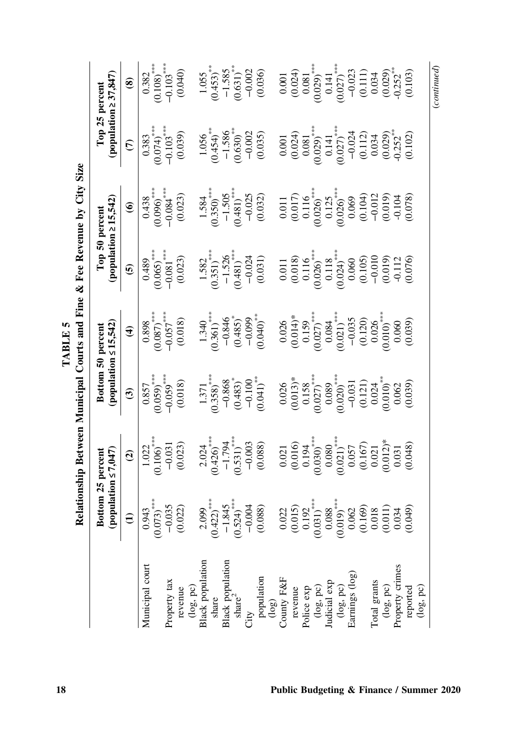|                                              |                                                                                                                                                                       | Relationship Between Municipal Courts and Fine & Fee Revenue by                                                                                                                                                                                                                                     |                                                                                                                                                                                                                                                                                                 |                                                                                                                                                                                                                                                                                                                          |                                                                                                                                                                                                                                                                       | City                                                                                                                                                              | <b>Size</b>                                                                                                                                                              |                                                                                                                                                                                      |
|----------------------------------------------|-----------------------------------------------------------------------------------------------------------------------------------------------------------------------|-----------------------------------------------------------------------------------------------------------------------------------------------------------------------------------------------------------------------------------------------------------------------------------------------------|-------------------------------------------------------------------------------------------------------------------------------------------------------------------------------------------------------------------------------------------------------------------------------------------------|--------------------------------------------------------------------------------------------------------------------------------------------------------------------------------------------------------------------------------------------------------------------------------------------------------------------------|-----------------------------------------------------------------------------------------------------------------------------------------------------------------------------------------------------------------------------------------------------------------------|-------------------------------------------------------------------------------------------------------------------------------------------------------------------|--------------------------------------------------------------------------------------------------------------------------------------------------------------------------|--------------------------------------------------------------------------------------------------------------------------------------------------------------------------------------|
|                                              | Bottom 25                                                                                                                                                             | percent<br>(population $\leq 7,047$                                                                                                                                                                                                                                                                 | (population                                                                                                                                                                                                                                                                                     | $\leq 15,542$<br>Bottom 50 percent                                                                                                                                                                                                                                                                                       | Top 50 percent<br>(population ≥ 15,542)                                                                                                                                                                                                                               |                                                                                                                                                                   | (population $\geq 37,847$ )<br>Top 25 percent                                                                                                                            |                                                                                                                                                                                      |
|                                              | $\widehat{z}$                                                                                                                                                         | $\widehat{a}$                                                                                                                                                                                                                                                                                       | $\widehat{\mathbf{c}}$                                                                                                                                                                                                                                                                          | $\widehat{\mathbf{t}}$                                                                                                                                                                                                                                                                                                   | $\mathbf{e}$                                                                                                                                                                                                                                                          | $\widehat{\bullet}$                                                                                                                                               | $\widehat{c}$                                                                                                                                                            | $\circledast$                                                                                                                                                                        |
| Municipal court                              | $\frac{0.943}{(0.073)}$<br>$+(-1.0035)$<br>$-0.035$<br>$(0.022)$                                                                                                      | $\begin{array}{c} 1.022 \\ 0.106 \end{array}$<br>$\begin{array}{c} -0.031 \\ -0.031 \end{array}$                                                                                                                                                                                                    | $\begin{array}{r} \hline 0.857 \ 0.059) ^{****} \ -0.059 ^{****} \ -0.059 ^{****} \end{array}$                                                                                                                                                                                                  | $\begin{array}{r} 0.898 \\ 0.897 \end{array}$<br>$\begin{array}{r} 0.677 \end{array}$<br>$-0.057$<br>$(0.018)$                                                                                                                                                                                                           | $\begin{array}{c} 0.489 \\ (0.065) \end{array}$<br>$-0.081$<br>$(0.005)$<br>$(0.023)$                                                                                                                                                                                 | $\begin{array}{c} 0.438 \\ (0.096) ^{***} \\ -0.084 ^{***} \\ (0.0004 ) \end{array}$                                                                              | $\frac{0.383}{0.034}$<br>$+0.074$<br>$-0.103$<br>$(0.039)$                                                                                                               | $\overline{0.382}$<br>$(0.108)$<br>$-0.103$<br>$(0.040)$                                                                                                                             |
|                                              |                                                                                                                                                                       |                                                                                                                                                                                                                                                                                                     |                                                                                                                                                                                                                                                                                                 |                                                                                                                                                                                                                                                                                                                          |                                                                                                                                                                                                                                                                       |                                                                                                                                                                   |                                                                                                                                                                          |                                                                                                                                                                                      |
| Property tax                                 |                                                                                                                                                                       |                                                                                                                                                                                                                                                                                                     |                                                                                                                                                                                                                                                                                                 |                                                                                                                                                                                                                                                                                                                          |                                                                                                                                                                                                                                                                       |                                                                                                                                                                   |                                                                                                                                                                          |                                                                                                                                                                                      |
| revenue<br>(log, pc)<br>Black population     |                                                                                                                                                                       |                                                                                                                                                                                                                                                                                                     |                                                                                                                                                                                                                                                                                                 |                                                                                                                                                                                                                                                                                                                          |                                                                                                                                                                                                                                                                       |                                                                                                                                                                   |                                                                                                                                                                          |                                                                                                                                                                                      |
|                                              |                                                                                                                                                                       |                                                                                                                                                                                                                                                                                                     |                                                                                                                                                                                                                                                                                                 |                                                                                                                                                                                                                                                                                                                          |                                                                                                                                                                                                                                                                       |                                                                                                                                                                   |                                                                                                                                                                          |                                                                                                                                                                                      |
|                                              |                                                                                                                                                                       |                                                                                                                                                                                                                                                                                                     |                                                                                                                                                                                                                                                                                                 |                                                                                                                                                                                                                                                                                                                          |                                                                                                                                                                                                                                                                       |                                                                                                                                                                   |                                                                                                                                                                          |                                                                                                                                                                                      |
| share                                        |                                                                                                                                                                       |                                                                                                                                                                                                                                                                                                     |                                                                                                                                                                                                                                                                                                 |                                                                                                                                                                                                                                                                                                                          |                                                                                                                                                                                                                                                                       |                                                                                                                                                                   |                                                                                                                                                                          |                                                                                                                                                                                      |
| <b>Black</b> population                      |                                                                                                                                                                       |                                                                                                                                                                                                                                                                                                     |                                                                                                                                                                                                                                                                                                 |                                                                                                                                                                                                                                                                                                                          |                                                                                                                                                                                                                                                                       |                                                                                                                                                                   |                                                                                                                                                                          |                                                                                                                                                                                      |
| $\frac{4P_2}{\text{share}^2}$                |                                                                                                                                                                       |                                                                                                                                                                                                                                                                                                     |                                                                                                                                                                                                                                                                                                 |                                                                                                                                                                                                                                                                                                                          |                                                                                                                                                                                                                                                                       |                                                                                                                                                                   |                                                                                                                                                                          |                                                                                                                                                                                      |
|                                              |                                                                                                                                                                       |                                                                                                                                                                                                                                                                                                     |                                                                                                                                                                                                                                                                                                 |                                                                                                                                                                                                                                                                                                                          |                                                                                                                                                                                                                                                                       |                                                                                                                                                                   |                                                                                                                                                                          |                                                                                                                                                                                      |
| population<br>(log)<br>County F&F            | $\begin{array}{c} 2.099 \\ (0.422)^{***} \\ -1.845 \\ (0.524)^{***} \\ (0.524)^{***} \\ (0.004) \\ (0.004) \end{array}$                                               | $\begin{array}{c} 2.024\\ (0.426)^{***}\\ -1.794\\ (0.531)^{***}\\ -0.003\\ (0.088) \end{array}$                                                                                                                                                                                                    | $\begin{array}{c} 1.371 \\ 1.378 \\ -0.868 \\ -0.868 \\ 0.483 \end{array}$<br>$+0.1371 \\ -0.100 \\ -0.100 \\ -0.100 \\ 0.041 \end{array}$                                                                                                                                                      | $\begin{array}{l} 1.340 \\ 1.361 \end{array}$<br>$\begin{array}{l} -0.846 \\ -0.485 \end{array}$<br>$\begin{array}{l} -0.099 \\ -0.099 \end{array}$                                                                                                                                                                      | $\begin{array}{c} 1.582\\ (0.351)^{***}\\ -1.526\\ (0.481)^{***}\\ -0.024\\ (0.031)\end{array}$                                                                                                                                                                       | $\begin{array}{c} 1.584 \\ (0.350)^{***} \\ -1.505 \\ (0.481)^{***} \\ -0.025 \\ (0.032) \end{array}$                                                             | $\begin{array}{c} 1.056 \\ (0.454)^{* \ast } \\ -1.586 \\ (0.630)^{* \ast } \\ (0.630) \\ -0.002 \end{array}$                                                            | $\begin{array}{c} 1.055\\ (0.453)^{**}\\ -1.585\\ (0.631)^{**}\\ -0.002\\ (0.036) \end{array}$                                                                                       |
|                                              |                                                                                                                                                                       |                                                                                                                                                                                                                                                                                                     |                                                                                                                                                                                                                                                                                                 |                                                                                                                                                                                                                                                                                                                          |                                                                                                                                                                                                                                                                       |                                                                                                                                                                   |                                                                                                                                                                          |                                                                                                                                                                                      |
|                                              |                                                                                                                                                                       |                                                                                                                                                                                                                                                                                                     |                                                                                                                                                                                                                                                                                                 |                                                                                                                                                                                                                                                                                                                          |                                                                                                                                                                                                                                                                       |                                                                                                                                                                   |                                                                                                                                                                          |                                                                                                                                                                                      |
| revenue<br>Police exp                        |                                                                                                                                                                       |                                                                                                                                                                                                                                                                                                     |                                                                                                                                                                                                                                                                                                 |                                                                                                                                                                                                                                                                                                                          |                                                                                                                                                                                                                                                                       |                                                                                                                                                                   |                                                                                                                                                                          |                                                                                                                                                                                      |
|                                              |                                                                                                                                                                       |                                                                                                                                                                                                                                                                                                     |                                                                                                                                                                                                                                                                                                 |                                                                                                                                                                                                                                                                                                                          |                                                                                                                                                                                                                                                                       |                                                                                                                                                                   |                                                                                                                                                                          |                                                                                                                                                                                      |
|                                              |                                                                                                                                                                       |                                                                                                                                                                                                                                                                                                     |                                                                                                                                                                                                                                                                                                 |                                                                                                                                                                                                                                                                                                                          |                                                                                                                                                                                                                                                                       |                                                                                                                                                                   |                                                                                                                                                                          |                                                                                                                                                                                      |
|                                              |                                                                                                                                                                       |                                                                                                                                                                                                                                                                                                     |                                                                                                                                                                                                                                                                                                 |                                                                                                                                                                                                                                                                                                                          |                                                                                                                                                                                                                                                                       |                                                                                                                                                                   |                                                                                                                                                                          |                                                                                                                                                                                      |
| $(\log, pc)$<br>Judicial exp<br>$(\log, pc)$ |                                                                                                                                                                       |                                                                                                                                                                                                                                                                                                     |                                                                                                                                                                                                                                                                                                 |                                                                                                                                                                                                                                                                                                                          |                                                                                                                                                                                                                                                                       |                                                                                                                                                                   |                                                                                                                                                                          |                                                                                                                                                                                      |
| Earnings (log)                               |                                                                                                                                                                       |                                                                                                                                                                                                                                                                                                     |                                                                                                                                                                                                                                                                                                 |                                                                                                                                                                                                                                                                                                                          |                                                                                                                                                                                                                                                                       |                                                                                                                                                                   |                                                                                                                                                                          |                                                                                                                                                                                      |
|                                              |                                                                                                                                                                       |                                                                                                                                                                                                                                                                                                     |                                                                                                                                                                                                                                                                                                 |                                                                                                                                                                                                                                                                                                                          |                                                                                                                                                                                                                                                                       |                                                                                                                                                                   |                                                                                                                                                                          |                                                                                                                                                                                      |
| Total grants                                 |                                                                                                                                                                       |                                                                                                                                                                                                                                                                                                     |                                                                                                                                                                                                                                                                                                 |                                                                                                                                                                                                                                                                                                                          |                                                                                                                                                                                                                                                                       |                                                                                                                                                                   |                                                                                                                                                                          |                                                                                                                                                                                      |
| $(\log, pc)$                                 | $\begin{array}{c} 0.022 \\ 0.015 \\ 0.192 \\ 0.031 \\ 0.000 \\ 0.000 \\ 0.019 \\ 0.000 \\ 0.001 \\ 0.001 \\ 0.010 \\ 0.011 \\ 0.011 \\ 0.014 \\ 0.014 \\ \end{array}$ | $\begin{array}{c} 0.021 \\ 0.016 \\ 0.194 \\ 0.030 \\ 0.030 \\ 0.031 \\ 0.057 \\ 0.057 \\ 0.057 \\ 0.012 \\ 0.012 \\ 0.031 \\ 0.031 \\ 0.031 \\ 0.031 \\ 0.031 \\ 0.031 \\ 0.033 \\ 0.048 \\ 0.048 \\ 0.048 \\ 0.048 \\ 0.048 \\ 0.048 \\ 0.048 \\ 0.048 \\ 0.048 \\ 0.048 \\ 0.048 \\ 0.048 \\ 0.$ | $\begin{array}{c} 0.026\\ (0.013)^*\\ 0.158\\ (0.027)^*\\ (0.020)^*\\ (0.000)^*\\ (0.013)\\ (0.011)\\ (0.011)\\ (0.010)^*\\ (0.000)\\ (0.002)\\ (0.002)\\ (0.002)\\ (0.003)\\ (0.003)\\ (0.003)\\ (0.003)\\ (0.003)\\ (0.003)\\ (0.003)\\ (0.003)\\ (0.003)\\ (0.003)\\ (0.003)\\ (0.003)\\ (0$ | $\begin{array}{c} 0.026 \\ (0.014)^* \\ 0.159 \\ (0.027)^* \\ (0.021)^* \\ (0.034 \\ -0.035 \\ (0.120) \\ (0.010)^* \\ (0.006) \\ (0.000) \\ (0.000) \\ (0.000) \\ (0.000) \\ (0.000) \\ (0.000) \\ (0.000) \\ (0.000) \\ (0.000) \\ (0.000) \\ (0.000) \\ (0.000) \\ (0.000) \\ (0.000) \\ (0.000) \\ (0.000) \\ (0.00$ | $\begin{array}{l} 0.011\\ 0.018\\ 0.116\\ 0.026)\\ 0.118\\ 0.024)\\ 0.000\\ 0.000\\ 0.000\\ 0.010\\ 0.010\\ 0.010\\ 0.010\\ 0.010\\ 0.010\\ 0.010\\ 0.010\\ 0.000\\ 0.000\\ 0.000\\ 0.000\\ 0.000\\ 0.000\\ 0.000\\ 0.000\\ 0.000\\ 0.000\\ 0.000\\ 0.000\\ 0.000\\ $ | $\begin{array}{c} 0.011\\ 0.017)\\ 0.116\\ 0.0266\\ 0.0266\\ 0.0009\\ 0.0009\\ 0.0104\\ 0.0101\\ 0.0100\\ 0.0104\\ 0.0104\\ 0.0104\\ 0.0104\\ 0.0009 \end{array}$ | $\begin{array}{c} 0.001\\ 0.024)\\ 0.081\\ 0.029)\\ 0.141\\ 0.027)\\ -0.024\\ 0.034\\ 0.034\\ 0.034\\ 0.034\\ 0.034\\ 0.039\\ 0.029)\\ 0.034\\ 0.020\\ 0.029\end{array}$ | $\begin{array}{c} 0.001\\ 0.024)\\ 0.081\\ 0.029)\\ 0.029)\\ 0.14\\ 0.027)\\ 0.027)\\ 0.0111\\ 0.034\\ 0.034\\ 0.039\\ 0.0329\\ 0.033\\ 0.030\\ 0.030\\ 0.030\\ 0.030\\ \end{array}$ |
|                                              |                                                                                                                                                                       |                                                                                                                                                                                                                                                                                                     |                                                                                                                                                                                                                                                                                                 |                                                                                                                                                                                                                                                                                                                          |                                                                                                                                                                                                                                                                       |                                                                                                                                                                   |                                                                                                                                                                          |                                                                                                                                                                                      |
| Property crimes<br>reported                  | (649)                                                                                                                                                                 |                                                                                                                                                                                                                                                                                                     |                                                                                                                                                                                                                                                                                                 |                                                                                                                                                                                                                                                                                                                          |                                                                                                                                                                                                                                                                       |                                                                                                                                                                   |                                                                                                                                                                          |                                                                                                                                                                                      |
| (log, pc)                                    |                                                                                                                                                                       |                                                                                                                                                                                                                                                                                                     |                                                                                                                                                                                                                                                                                                 |                                                                                                                                                                                                                                                                                                                          |                                                                                                                                                                                                                                                                       |                                                                                                                                                                   |                                                                                                                                                                          |                                                                                                                                                                                      |

TABLE 5 TABLE 5

(continued)

 $\label{eq:constrained} (continued)$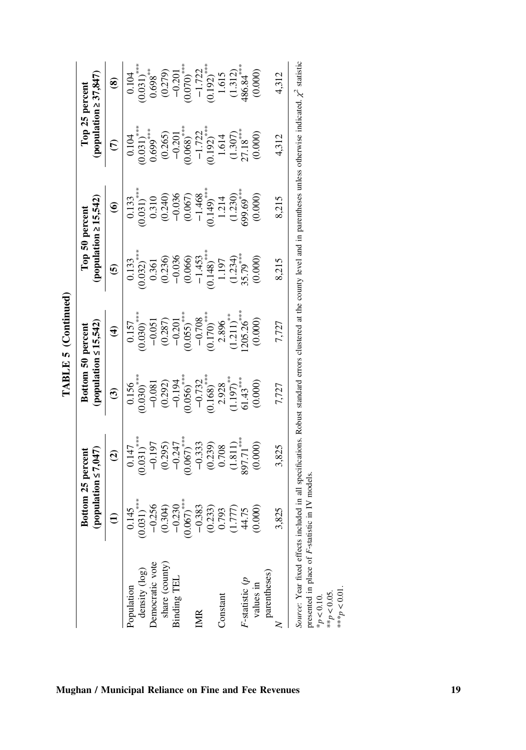|                                                                                                                                                                                                                                  |                                               |                                                                                                                                                                                                            |                                                                                                                                                                                                                                                                       | TABLE 5 (Continued)                                                                                                                                                    |                                                                                                                                                                                                                                                                              |                                                                                                                                                                      |                                                                                                                                                                                                                      |                                                                                                               |
|----------------------------------------------------------------------------------------------------------------------------------------------------------------------------------------------------------------------------------|-----------------------------------------------|------------------------------------------------------------------------------------------------------------------------------------------------------------------------------------------------------------|-----------------------------------------------------------------------------------------------------------------------------------------------------------------------------------------------------------------------------------------------------------------------|------------------------------------------------------------------------------------------------------------------------------------------------------------------------|------------------------------------------------------------------------------------------------------------------------------------------------------------------------------------------------------------------------------------------------------------------------------|----------------------------------------------------------------------------------------------------------------------------------------------------------------------|----------------------------------------------------------------------------------------------------------------------------------------------------------------------------------------------------------------------|---------------------------------------------------------------------------------------------------------------|
|                                                                                                                                                                                                                                  |                                               | Bottom 25 percent<br>population $\leq 7,047$                                                                                                                                                               | population:                                                                                                                                                                                                                                                           | $\leq 15,542$<br>Bottom 50 percent                                                                                                                                     | (population $\geq 15,542$ )<br>Top 50 percent                                                                                                                                                                                                                                |                                                                                                                                                                      | (population $\geq 37,847$ )<br>Top 25 percent                                                                                                                                                                        |                                                                                                               |
|                                                                                                                                                                                                                                  | $\widehat{\Xi}$                               | $\widehat{\mathbf{c}}$                                                                                                                                                                                     | $\widehat{\mathcal{C}}$                                                                                                                                                                                                                                               | $\widehat{\mathbf{f}}$                                                                                                                                                 | $\widehat{\mathbf{e}}$                                                                                                                                                                                                                                                       | $\widehat{\bullet}$                                                                                                                                                  | $\widehat{\mathcal{C}}$                                                                                                                                                                                              | $\circledast$                                                                                                 |
| density (log)<br>Population                                                                                                                                                                                                      | $^{1145}_{131}$                               | $\begin{array}{c} 0.147\\ 0.031) ^{***}\\ -0.197\\ -0.295\\ 0.295)\\ -0.247\\ -0.247\\ -0.247\\ -0.333\\ -0.333\\ 0.708\\ 0.708\\ 0.111)\\ -0.8111\\ -0.8111\\ -0.8171^{***}\\ 897.71^{***}\\ \end{array}$ | $\begin{array}{l} 0.156\\0.030)\\-0.081\\0.292)\\0.030\\-0.194\\-0.195\\-0.056\\-0.108\\-0.108\\-0.108\\-0.100\\-0.100\\-0.100\\-0.100\\-0.101\\-0.1197)\\-0.1197\\-0.143\\-0.143\\-0.143\\-0.143\\-0.143\\-0.143\\-0.143\\-0.143\\-0.143\\-0.143\\-0.143\\-0.143\\-$ | $\begin{array}{c} 0.157\\0.030)\\-0.051\\0.287)\\0.207\\-0.201\\0.059\\-0.708\\0.170)\\0.170)\\-0.708\\2.896\\0.171)\\2.896\\0.170)\\-0.203\\-0.208\\0.208\end{array}$ | $\begin{array}{c} 0.133\\ 0.032)_{\ast\ast\ast} \\ 0.361\\ 0.236)\\ 0.030\\ 0.036\\ 0.036\\ 0.036\\ 0.036\\ 0.036\\ 0.036\\ 0.036\\ 0.036\\ 0.036\\ 0.034\\ 0.034\\ 0.034\\ 0.034\\ 0.034\\ 0.034\\ 0.034\\ 0.034\\ 0.034\\ 0.034\\ 0.034\\ 0.034\\ 0.034\\ 0.034\\ 0.034\\$ | $\begin{array}{c} 0.133\\ (0.031)^{***}\\ (0.310)\\ (0.240)\\ (0.036)\\ (0.036)\\ (0.067)\\ (0.149)^{***}\\ (0.140)\\ (1.230)\\ (1.230)\\ (0.05^{***}\\ \end{array}$ | $\begin{array}{c} 0.104 \\ (0.031)^{***} \\ 0.699^{***} \\ (0.265) \\ (0.203) \\ (0.030^{***} \\ (0.068)^{***} \\ (0.192)^{***} \\ (0.192)^{***} \\ (0.192) \\ (1.507) \\ (2.18^{***} \\ 27.18^{***} \\ \end{array}$ | $\begin{array}{c} 0.104 \\ 0.031)^{***} \\ 0.698^{***} \\ 0.279) \\ -0.201^{***} \\ 0.070)^{***} \end{array}$ |
| Democratic vote                                                                                                                                                                                                                  |                                               |                                                                                                                                                                                                            |                                                                                                                                                                                                                                                                       |                                                                                                                                                                        |                                                                                                                                                                                                                                                                              |                                                                                                                                                                      |                                                                                                                                                                                                                      |                                                                                                               |
| share (county)                                                                                                                                                                                                                   | $1.356$<br>$(0.304)$<br>$0.230$<br>$067)$ *** |                                                                                                                                                                                                            |                                                                                                                                                                                                                                                                       |                                                                                                                                                                        |                                                                                                                                                                                                                                                                              |                                                                                                                                                                      |                                                                                                                                                                                                                      |                                                                                                               |
| Binding TEL                                                                                                                                                                                                                      |                                               |                                                                                                                                                                                                            |                                                                                                                                                                                                                                                                       |                                                                                                                                                                        |                                                                                                                                                                                                                                                                              |                                                                                                                                                                      |                                                                                                                                                                                                                      |                                                                                                               |
|                                                                                                                                                                                                                                  | $\widetilde{\mathrm{C}}$                      |                                                                                                                                                                                                            |                                                                                                                                                                                                                                                                       |                                                                                                                                                                        |                                                                                                                                                                                                                                                                              |                                                                                                                                                                      |                                                                                                                                                                                                                      |                                                                                                               |
| IMR                                                                                                                                                                                                                              |                                               |                                                                                                                                                                                                            |                                                                                                                                                                                                                                                                       |                                                                                                                                                                        |                                                                                                                                                                                                                                                                              |                                                                                                                                                                      |                                                                                                                                                                                                                      |                                                                                                               |
|                                                                                                                                                                                                                                  | $1383$<br>$733$<br>$777$<br>$775$<br>$4.75$   |                                                                                                                                                                                                            |                                                                                                                                                                                                                                                                       |                                                                                                                                                                        |                                                                                                                                                                                                                                                                              |                                                                                                                                                                      |                                                                                                                                                                                                                      | $-1.722$<br>$(0.192)^{***}$<br>$1.615$<br>$(1.312)$<br>$486.84^{***}$                                         |
| Constant                                                                                                                                                                                                                         |                                               |                                                                                                                                                                                                            |                                                                                                                                                                                                                                                                       |                                                                                                                                                                        |                                                                                                                                                                                                                                                                              |                                                                                                                                                                      |                                                                                                                                                                                                                      |                                                                                                               |
|                                                                                                                                                                                                                                  |                                               |                                                                                                                                                                                                            |                                                                                                                                                                                                                                                                       |                                                                                                                                                                        |                                                                                                                                                                                                                                                                              |                                                                                                                                                                      |                                                                                                                                                                                                                      |                                                                                                               |
| $F$ -statistic $(p$                                                                                                                                                                                                              |                                               |                                                                                                                                                                                                            |                                                                                                                                                                                                                                                                       |                                                                                                                                                                        |                                                                                                                                                                                                                                                                              |                                                                                                                                                                      |                                                                                                                                                                                                                      |                                                                                                               |
| values in                                                                                                                                                                                                                        | 000                                           | (0.000)                                                                                                                                                                                                    | (0.000)                                                                                                                                                                                                                                                               | (0.000)                                                                                                                                                                | (0.000)                                                                                                                                                                                                                                                                      | (0.000)                                                                                                                                                              |                                                                                                                                                                                                                      | (0.000)                                                                                                       |
| parentheses)                                                                                                                                                                                                                     |                                               |                                                                                                                                                                                                            |                                                                                                                                                                                                                                                                       |                                                                                                                                                                        |                                                                                                                                                                                                                                                                              |                                                                                                                                                                      |                                                                                                                                                                                                                      |                                                                                                               |
|                                                                                                                                                                                                                                  | 825                                           | 3,825                                                                                                                                                                                                      | 7,727                                                                                                                                                                                                                                                                 | 7,727                                                                                                                                                                  | 8,215                                                                                                                                                                                                                                                                        | 8,215                                                                                                                                                                | 4,312                                                                                                                                                                                                                | 4,312                                                                                                         |
| Source: Year fixed effects included in all specifications. Robust standard errors clustered at the county level and in parentheses unless otherwise indicated. $\chi^2$ statistic<br>recorded in relate F statistic in IV models |                                               |                                                                                                                                                                                                            |                                                                                                                                                                                                                                                                       |                                                                                                                                                                        |                                                                                                                                                                                                                                                                              |                                                                                                                                                                      |                                                                                                                                                                                                                      |                                                                                                               |

# presented in place of F‐statistic in IV models. presented in place of *F*-statistic in IV models.<br>\* $p < 0.10$ .<br>\*\* $p < 0.05$ .<br>\*\*\* $p < 0.05$ .

\*\* $p < 0.05$ . \*\*\* $p < 0.01$ .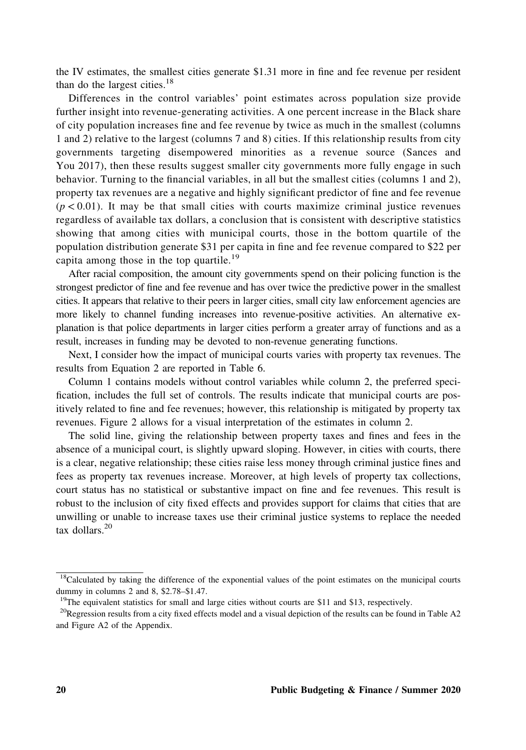the IV estimates, the smallest cities generate \$1.31 more in fine and fee revenue per resident than do the largest cities. $18$ 

Differences in the control variables' point estimates across population size provide further insight into revenue‐generating activities. A one percent increase in the Black share of city population increases fine and fee revenue by twice as much in the smallest (columns 1 and 2) relative to the largest (columns 7 and 8) cities. If this relationship results from city governments targeting disempowered minorities as a revenue source (Sances and You 2017), then these results suggest smaller city governments more fully engage in such behavior. Turning to the financial variables, in all but the smallest cities (columns 1 and 2), property tax revenues are a negative and highly significant predictor of fine and fee revenue  $(p < 0.01)$ . It may be that small cities with courts maximize criminal justice revenues regardless of available tax dollars, a conclusion that is consistent with descriptive statistics showing that among cities with municipal courts, those in the bottom quartile of the population distribution generate \$31 per capita in fine and fee revenue compared to \$22 per capita among those in the top quartile.<sup>19</sup>

After racial composition, the amount city governments spend on their policing function is the strongest predictor of fine and fee revenue and has over twice the predictive power in the smallest cities. It appears that relative to their peers in larger cities, small city law enforcement agencies are more likely to channel funding increases into revenue‐positive activities. An alternative explanation is that police departments in larger cities perform a greater array of functions and as a result, increases in funding may be devoted to non-revenue generating functions.

Next, I consider how the impact of municipal courts varies with property tax revenues. The results from Equation 2 are reported in Table 6.

Column 1 contains models without control variables while column 2, the preferred specification, includes the full set of controls. The results indicate that municipal courts are positively related to fine and fee revenues; however, this relationship is mitigated by property tax revenues. Figure 2 allows for a visual interpretation of the estimates in column 2.

The solid line, giving the relationship between property taxes and fines and fees in the absence of a municipal court, is slightly upward sloping. However, in cities with courts, there is a clear, negative relationship; these cities raise less money through criminal justice fines and fees as property tax revenues increase. Moreover, at high levels of property tax collections, court status has no statistical or substantive impact on fine and fee revenues. This result is robust to the inclusion of city fixed effects and provides support for claims that cities that are unwilling or unable to increase taxes use their criminal justice systems to replace the needed tax dollars. $20$ 

<sup>&</sup>lt;sup>18</sup>Calculated by taking the difference of the exponential values of the point estimates on the municipal courts dummy in columns 2 and 8, \$2.78–\$1.47.

 $19$ The equivalent statistics for small and large cities without courts are \$11 and \$13, respectively.

<sup>&</sup>lt;sup>20</sup>Regression results from a city fixed effects model and a visual depiction of the results can be found in Table A2 and Figure A2 of the Appendix.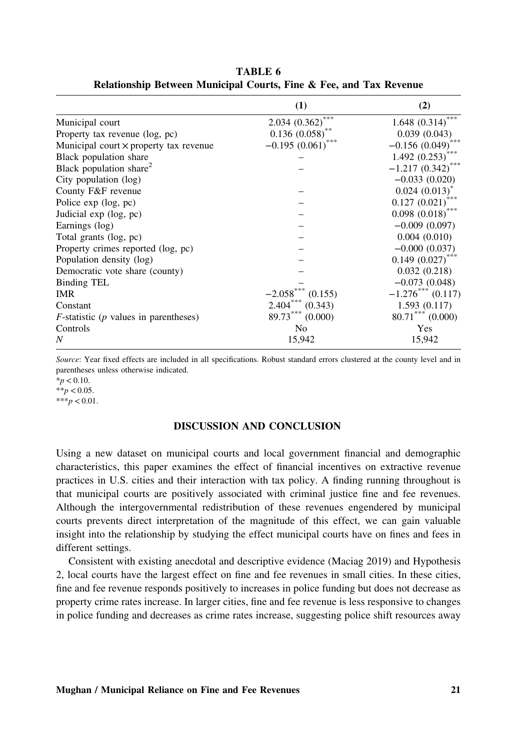|                                                  | (1)                   | (2)                    |
|--------------------------------------------------|-----------------------|------------------------|
| Municipal court                                  | ***<br>2.034 (0.362)  | $1.648~(0.314)$ ***    |
| Property tax revenue (log, pc)                   | $0.136$ $(0.058)$ **  | 0.039(0.043)           |
| Municipal court x property tax revenue           | $-0.195(0.061)$       | $-0.156(0.049)$        |
| Black population share                           |                       | 1.492(0.253)           |
| Black population share <sup>2</sup>              |                       | ***<br>$-1.217(0.342)$ |
| City population (log)                            |                       | $-0.033(0.020)$        |
| County F&F revenue                               |                       | $0.024$ $(0.013)^*$    |
| Police $exp$ (log, $pc$ )                        |                       | 0.127(0.021)           |
| Judicial exp (log, pc)                           |                       | $0.098$ $(0.018)$ ***  |
| Earnings (log)                                   |                       | $-0.009(0.097)$        |
| Total grants (log, pc)                           |                       | 0.004(0.010)           |
| Property crimes reported (log, pc)               |                       | $-0.000(0.037)$        |
| Population density (log)                         |                       | $0.149(0.027)$ ***     |
| Democratic vote share (county)                   |                       | 0.032(0.218)           |
| Binding TEL                                      |                       | $-0.073(0.048)$        |
| <b>IMR</b>                                       | (0.155)<br>$-2.058$   | $-1.276***$ (0.117)    |
| Constant                                         | $2.404***$<br>(0.343) | 1.593(0.117)           |
| $F$ -statistic ( <i>p</i> values in parentheses) | $89.73***$<br>(0.000) | $80.71$ *** (0.000)    |
| Controls                                         | N <sub>0</sub>        | Yes                    |
| N                                                | 15,942                | 15,942                 |

TABLE 6 Relationship Between Municipal Courts, Fine & Fee, and Tax Revenue

Source: Year fixed effects are included in all specifications. Robust standard errors clustered at the county level and in parentheses unless otherwise indicated.

 $*_{p}$  < 0.10.

 $**p < 0.05$ .  $***p<0.01$ .

### DISCUSSION AND CONCLUSION

Using a new dataset on municipal courts and local government financial and demographic characteristics, this paper examines the effect of financial incentives on extractive revenue practices in U.S. cities and their interaction with tax policy. A finding running throughout is that municipal courts are positively associated with criminal justice fine and fee revenues. Although the intergovernmental redistribution of these revenues engendered by municipal courts prevents direct interpretation of the magnitude of this effect, we can gain valuable insight into the relationship by studying the effect municipal courts have on fines and fees in different settings.

Consistent with existing anecdotal and descriptive evidence (Maciag 2019) and Hypothesis 2, local courts have the largest effect on fine and fee revenues in small cities. In these cities, fine and fee revenue responds positively to increases in police funding but does not decrease as property crime rates increase. In larger cities, fine and fee revenue is less responsive to changes in police funding and decreases as crime rates increase, suggesting police shift resources away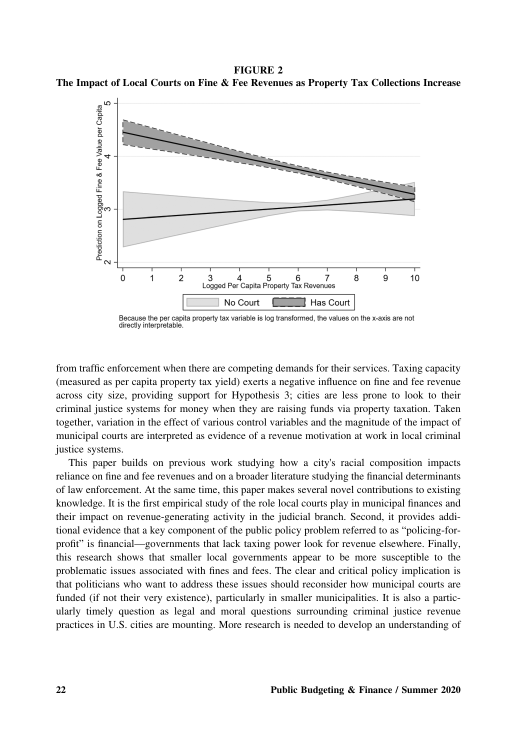FIGURE 2 The Impact of Local Courts on Fine & Fee Revenues as Property Tax Collections Increase



Because the per capita property tax variable is log transformed, the values on the x-axis are not directly interpretable.

from traffic enforcement when there are competing demands for their services. Taxing capacity (measured as per capita property tax yield) exerts a negative influence on fine and fee revenue across city size, providing support for Hypothesis 3; cities are less prone to look to their criminal justice systems for money when they are raising funds via property taxation. Taken together, variation in the effect of various control variables and the magnitude of the impact of municipal courts are interpreted as evidence of a revenue motivation at work in local criminal justice systems.

This paper builds on previous work studying how a city's racial composition impacts reliance on fine and fee revenues and on a broader literature studying the financial determinants of law enforcement. At the same time, this paper makes several novel contributions to existing knowledge. It is the first empirical study of the role local courts play in municipal finances and their impact on revenue‐generating activity in the judicial branch. Second, it provides additional evidence that a key component of the public policy problem referred to as "policing-forprofit" is financial—governments that lack taxing power look for revenue elsewhere. Finally, this research shows that smaller local governments appear to be more susceptible to the problematic issues associated with fines and fees. The clear and critical policy implication is that politicians who want to address these issues should reconsider how municipal courts are funded (if not their very existence), particularly in smaller municipalities. It is also a particularly timely question as legal and moral questions surrounding criminal justice revenue practices in U.S. cities are mounting. More research is needed to develop an understanding of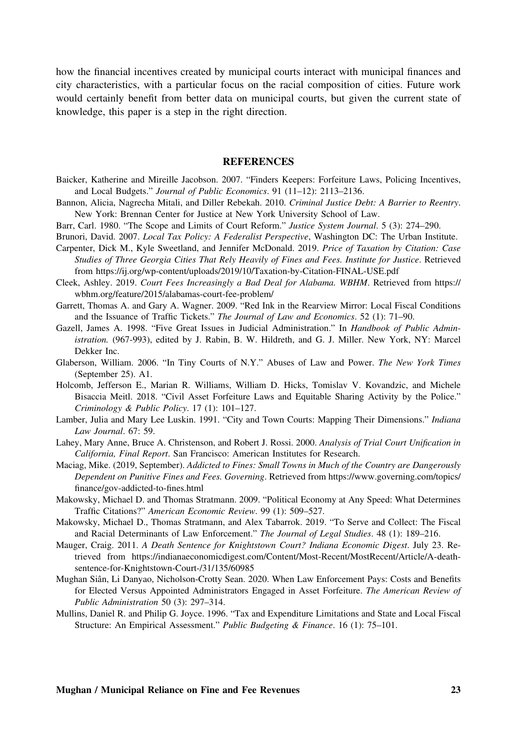how the financial incentives created by municipal courts interact with municipal finances and city characteristics, with a particular focus on the racial composition of cities. Future work would certainly benefit from better data on municipal courts, but given the current state of knowledge, this paper is a step in the right direction.

### REFERENCES

- Baicker, Katherine and Mireille Jacobson. 2007. "Finders Keepers: Forfeiture Laws, Policing Incentives, and Local Budgets." Journal of Public Economics. 91 (11–12): 2113–2136.
- Bannon, Alicia, Nagrecha Mitali, and Diller Rebekah. 2010. Criminal Justice Debt: A Barrier to Reentry. New York: Brennan Center for Justice at New York University School of Law.
- Barr, Carl. 1980. "The Scope and Limits of Court Reform." Justice System Journal. 5 (3): 274–290.
- Brunori, David. 2007. Local Tax Policy: A Federalist Perspective, Washington DC: The Urban Institute.
- Carpenter, Dick M., Kyle Sweetland, and Jennifer McDonald. 2019. Price of Taxation by Citation: Case Studies of Three Georgia Cities That Rely Heavily of Fines and Fees. Institute for Justice. Retrieved from<https://ij.org/wp-content/uploads/2019/10/Taxation-by-Citation-FINAL-USE.pdf>
- Cleek, Ashley. 2019. Court Fees Increasingly a Bad Deal for Alabama. WBHM. Retrieved from [https://](https://wbhm.org/feature/2015/alabamas-court-fee-problem/) [wbhm.org/feature/2015/alabamas-court-fee-problem/](https://wbhm.org/feature/2015/alabamas-court-fee-problem/)
- Garrett, Thomas A. and Gary A. Wagner. 2009. "Red Ink in the Rearview Mirror: Local Fiscal Conditions and the Issuance of Traffic Tickets." The Journal of Law and Economics. 52 (1): 71–90.
- Gazell, James A. 1998. "Five Great Issues in Judicial Administration." In Handbook of Public Administration. (967‐993), edited by J. Rabin, B. W. Hildreth, and G. J. Miller. New York, NY: Marcel Dekker Inc.
- Glaberson, William. 2006. "In Tiny Courts of N.Y." Abuses of Law and Power. The New York Times (September 25). A1.
- Holcomb, Jefferson E., Marian R. Williams, William D. Hicks, Tomislav V. Kovandzic, and Michele Bisaccia Meitl. 2018. "Civil Asset Forfeiture Laws and Equitable Sharing Activity by the Police." Criminology & Public Policy. 17 (1): 101–127.
- Lamber, Julia and Mary Lee Luskin. 1991. "City and Town Courts: Mapping Their Dimensions." Indiana Law Journal. 67: 59.
- Lahey, Mary Anne, Bruce A. Christenson, and Robert J. Rossi. 2000. Analysis of Trial Court Unification in California, Final Report. San Francisco: American Institutes for Research.
- Maciag, Mike. (2019, September). Addicted to Fines: Small Towns in Much of the Country are Dangerously Dependent on Punitive Fines and Fees. Governing. Retrieved from [https://www.governing.com/topics/](https://www.governing.com/topics/finance/gov-addicted-to-fines.html) fi[nance/gov-addicted-to-](https://www.governing.com/topics/finance/gov-addicted-to-fines.html)fines.html
- Makowsky, Michael D. and Thomas Stratmann. 2009. "Political Economy at Any Speed: What Determines Traffic Citations?" American Economic Review. 99 (1): 509–527.
- Makowsky, Michael D., Thomas Stratmann, and Alex Tabarrok. 2019. "To Serve and Collect: The Fiscal and Racial Determinants of Law Enforcement." The Journal of Legal Studies. 48 (1): 189–216.
- Mauger, Craig. 2011. A Death Sentence for Knightstown Court? Indiana Economic Digest. July 23. Retrieved from [https://indianaeconomicdigest.com/Content/Most-Recent/MostRecent/Article/A-death](https://indianaeconomicdigest.com/Content/Most-Recent/MostRecent/Article/A-death-sentence-for-Knightstown-Court-/31/135/60985)[sentence-for-Knightstown-Court-/31/135/60985](https://indianaeconomicdigest.com/Content/Most-Recent/MostRecent/Article/A-death-sentence-for-Knightstown-Court-/31/135/60985)
- Mughan Siân, Li Danyao, Nicholson‐Crotty Sean. 2020. When Law Enforcement Pays: Costs and Benefits for Elected Versus Appointed Administrators Engaged in Asset Forfeiture. The American Review of Public Administration 50 (3): 297–314.
- Mullins, Daniel R. and Philip G. Joyce. 1996. "Tax and Expenditure Limitations and State and Local Fiscal Structure: An Empirical Assessment." Public Budgeting & Finance. 16 (1): 75–101.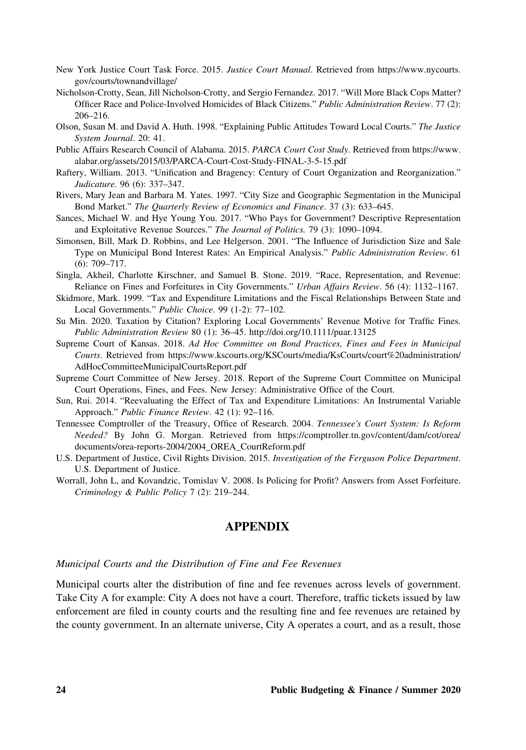- New York Justice Court Task Force. 2015. Justice Court Manual. Retrieved from [https://www.nycourts.](https://www.nycourts.gov/courts/townandvillage/) [gov/courts/townandvillage/](https://www.nycourts.gov/courts/townandvillage/)
- Nicholson‐Crotty, Sean, Jill Nicholson‐Crotty, and Sergio Fernandez. 2017. "Will More Black Cops Matter? Officer Race and Police-Involved Homicides of Black Citizens." Public Administration Review. 77 (2): 206–216.
- Olson, Susan M. and David A. Huth. 1998. "Explaining Public Attitudes Toward Local Courts." The Justice System Journal. 20: 41.
- Public Affairs Research Council of Alabama. 2015. PARCA Court Cost Study. Retrieved from [https://www.](https://www.alabar.org/assets/2015/03/PARCA-Court-Cost-Study-FINAL-3-5-15.pdf) [alabar.org/assets/2015/03/PARCA-Court-Cost-Study-FINAL-3-5-15.pdf](https://www.alabar.org/assets/2015/03/PARCA-Court-Cost-Study-FINAL-3-5-15.pdf)
- Raftery, William. 2013. "Unification and Bragency: Century of Court Organization and Reorganization." Judicature. 96 (6): 337–347.
- Rivers, Mary Jean and Barbara M. Yates. 1997. "City Size and Geographic Segmentation in the Municipal Bond Market." The Quarterly Review of Economics and Finance. 37 (3): 633–645.
- Sances, Michael W. and Hye Young You. 2017. "Who Pays for Government? Descriptive Representation and Exploitative Revenue Sources." The Journal of Politics. 79 (3): 1090–1094.
- Simonsen, Bill, Mark D. Robbins, and Lee Helgerson. 2001. "The Influence of Jurisdiction Size and Sale Type on Municipal Bond Interest Rates: An Empirical Analysis." Public Administration Review. 61 (6): 709–717.
- Singla, Akheil, Charlotte Kirschner, and Samuel B. Stone. 2019. "Race, Representation, and Revenue: Reliance on Fines and Forfeitures in City Governments." Urban Affairs Review. 56 (4): 1132–1167.
- Skidmore, Mark. 1999. "Tax and Expenditure Limitations and the Fiscal Relationships Between State and Local Governments." Public Choice. 99 (1‐2): 77–102.
- Su Min. 2020. Taxation by Citation? Exploring Local Governments' Revenue Motive for Traffic Fines. Public Administration Review 80 (1): 36–45.<http://doi.org/10.1111/puar.13125>
- Supreme Court of Kansas. 2018. Ad Hoc Committee on Bond Practices, Fines and Fees in Municipal Courts. Retrieved from [https://www.kscourts.org/KSCourts/media/KsCourts/court%20administration/](https://www.kscourts.org/KSCourts/media/KsCourts/court%20administration/AdHocCommitteeMunicipalCourtsReport.pdf) [AdHocCommitteeMunicipalCourtsReport.pdf](https://www.kscourts.org/KSCourts/media/KsCourts/court%20administration/AdHocCommitteeMunicipalCourtsReport.pdf)
- Supreme Court Committee of New Jersey. 2018. Report of the Supreme Court Committee on Municipal Court Operations, Fines, and Fees. New Jersey: Administrative Office of the Court.
- Sun, Rui. 2014. "Reevaluating the Effect of Tax and Expenditure Limitations: An Instrumental Variable Approach." Public Finance Review. 42 (1): 92–116.
- Tennessee Comptroller of the Treasury, Office of Research. 2004. Tennessee's Court System: Is Reform Needed? By John G. Morgan. Retrieved from [https://comptroller.tn.gov/content/dam/cot/orea/](https://comptroller.tn.gov/content/dam/cot/orea/documents/orea-reports-2004/2004_OREA_CourtReform.pdf) [documents/orea-reports-2004/2004\\_OREA\\_CourtReform.pdf](https://comptroller.tn.gov/content/dam/cot/orea/documents/orea-reports-2004/2004_OREA_CourtReform.pdf)
- U.S. Department of Justice, Civil Rights Division. 2015. Investigation of the Ferguson Police Department. U.S. Department of Justice.
- Worrall, John L, and Kovandzic, Tomislav V. 2008. Is Policing for Profit? Answers from Asset Forfeiture. Criminology & Public Policy 7 (2): 219–244.

# APPENDIX

### Municipal Courts and the Distribution of Fine and Fee Revenues

Municipal courts alter the distribution of fine and fee revenues across levels of government. Take City A for example: City A does not have a court. Therefore, traffic tickets issued by law enforcement are filed in county courts and the resulting fine and fee revenues are retained by the county government. In an alternate universe, City A operates a court, and as a result, those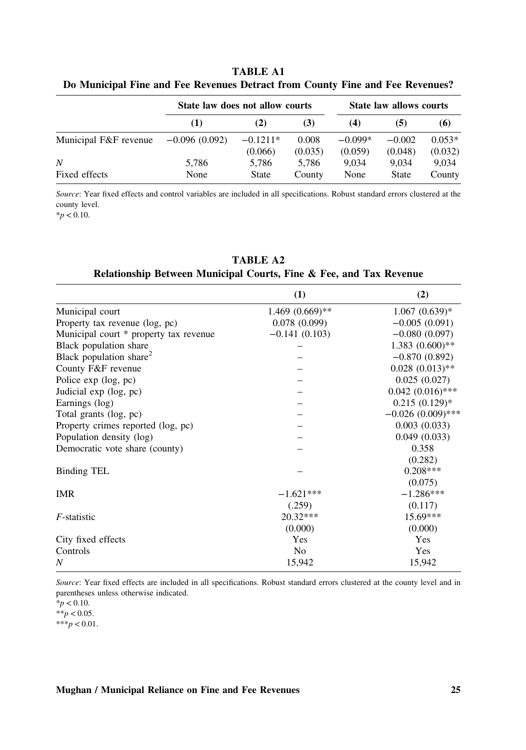|                       | State law does not allow courts |                       |                  |                      | State law allows courts |                     |
|-----------------------|---------------------------------|-----------------------|------------------|----------------------|-------------------------|---------------------|
|                       | (1)                             | (2)                   | (3)              | (4)                  | (5)                     | (6)                 |
| Municipal F&F revenue | $-0.096(0.092)$                 | $-0.1211*$<br>(0.066) | 0.008<br>(0.035) | $-0.099*$<br>(0.059) | $-0.002$<br>(0.048)     | $0.053*$<br>(0.032) |
| N<br>Fixed effects    | 5,786<br>None                   | 5.786<br>State        | 5.786<br>County  | 9.034<br>None        | 9.034<br>State          | 9.034<br>County     |

TABLE A1 Do Municipal Fine and Fee Revenues Detract from County Fine and Fee Revenues?

Source: Year fixed effects and control variables are included in all specifications. Robust standard errors clustered at the county level.

 $*<sub>p</sub> < 0.10$ .

| (1)             | (2)                 |
|-----------------|---------------------|
|                 | $1.067(0.639)*$     |
| 0.078(0.099)    | $-0.005(0.091)$     |
| $-0.141(0.103)$ | $-0.080(0.097)$     |
|                 | $1.383(0.600)**$    |
|                 | $-0.870(0.892)$     |
|                 | $0.028(0.013)$ **   |
|                 | 0.025(0.027)        |
|                 | $0.042(0.016)$ ***  |
|                 | $0.215(0.129)$ *    |
|                 | $-0.026(0.009)$ *** |
|                 | 0.003(0.033)        |
|                 | 0.049(0.033)        |
|                 | 0.358               |
|                 | (0.282)             |
|                 | $0.208***$          |
|                 | (0.075)             |
| $-1.621***$     | $-1.286***$         |
| (.259)          | (0.117)             |
| $20.32***$      | $15.69***$          |
| (0.000)         | (0.000)             |
| Yes             | <b>Yes</b>          |
| N <sub>0</sub>  | Yes                 |
| 15,942          | 15,942              |
|                 | $1.469(0.669)$ **   |

TABLE A2 Relationship Between Municipal Courts, Fine & Fee, and Tax Revenue

Source: Year fixed effects are included in all specifications. Robust standard errors clustered at the county level and in parentheses unless otherwise indicated.

 $*$ p < 0.10.  $**p < 0.05$ .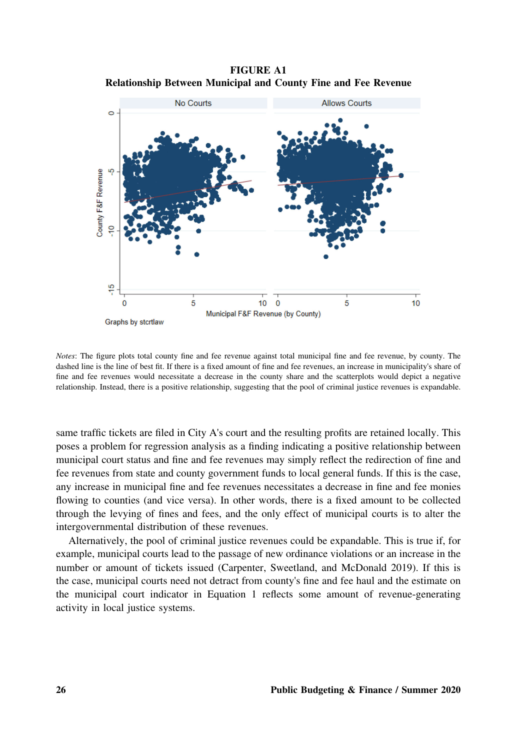FIGURE A1 Relationship Between Municipal and County Fine and Fee Revenue



Notes: The figure plots total county fine and fee revenue against total municipal fine and fee revenue, by county. The dashed line is the line of best fit. If there is a fixed amount of fine and fee revenues, an increase in municipality's share of fine and fee revenues would necessitate a decrease in the county share and the scatterplots would depict a negative relationship. Instead, there is a positive relationship, suggesting that the pool of criminal justice revenues is expandable.

same traffic tickets are filed in City A's court and the resulting profits are retained locally. This poses a problem for regression analysis as a finding indicating a positive relationship between municipal court status and fine and fee revenues may simply reflect the redirection of fine and fee revenues from state and county government funds to local general funds. If this is the case, any increase in municipal fine and fee revenues necessitates a decrease in fine and fee monies flowing to counties (and vice versa). In other words, there is a fixed amount to be collected through the levying of fines and fees, and the only effect of municipal courts is to alter the intergovernmental distribution of these revenues.

Alternatively, the pool of criminal justice revenues could be expandable. This is true if, for example, municipal courts lead to the passage of new ordinance violations or an increase in the number or amount of tickets issued (Carpenter, Sweetland, and McDonald 2019). If this is the case, municipal courts need not detract from county's fine and fee haul and the estimate on the municipal court indicator in Equation 1 reflects some amount of revenue‐generating activity in local justice systems.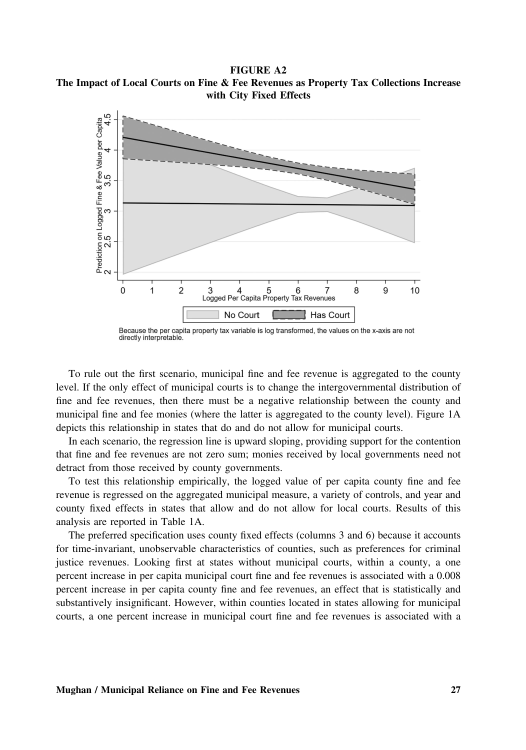FIGURE A2 The Impact of Local Courts on Fine & Fee Revenues as Property Tax Collections Increase with City Fixed Effects



Because the per capita property tax variable is log transformed, the values on the x-axis are not directly interpretable.

To rule out the first scenario, municipal fine and fee revenue is aggregated to the county level. If the only effect of municipal courts is to change the intergovernmental distribution of fine and fee revenues, then there must be a negative relationship between the county and municipal fine and fee monies (where the latter is aggregated to the county level). Figure 1A depicts this relationship in states that do and do not allow for municipal courts.

In each scenario, the regression line is upward sloping, providing support for the contention that fine and fee revenues are not zero sum; monies received by local governments need not detract from those received by county governments.

To test this relationship empirically, the logged value of per capita county fine and fee revenue is regressed on the aggregated municipal measure, a variety of controls, and year and county fixed effects in states that allow and do not allow for local courts. Results of this analysis are reported in Table 1A.

The preferred specification uses county fixed effects (columns 3 and 6) because it accounts for time‐invariant, unobservable characteristics of counties, such as preferences for criminal justice revenues. Looking first at states without municipal courts, within a county, a one percent increase in per capita municipal court fine and fee revenues is associated with a 0.008 percent increase in per capita county fine and fee revenues, an effect that is statistically and substantively insignificant. However, within counties located in states allowing for municipal courts, a one percent increase in municipal court fine and fee revenues is associated with a